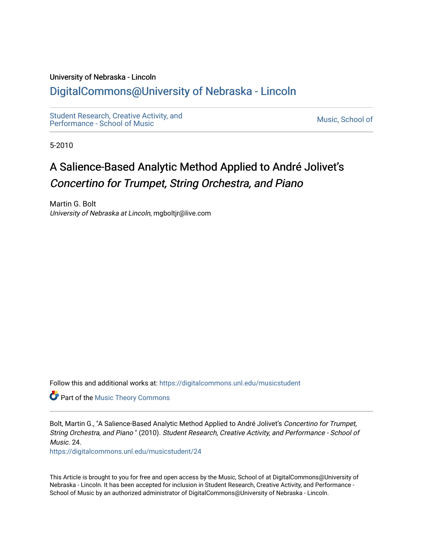#### University of Nebraska - Lincoln

# [DigitalCommons@University of Nebraska - Lincoln](https://digitalcommons.unl.edu/)

[Student Research, Creative Activity, and](https://digitalcommons.unl.edu/musicstudent) Student Research, Creative Activity, and<br>Performance - School of Music

5-2010

# A Salience-Based Analytic Method Applied to André Jolivet's Concertino for Trumpet, String Orchestra, and Piano

Martin G. Bolt University of Nebraska at Lincoln, mgboltjr@live.com

Follow this and additional works at: [https://digitalcommons.unl.edu/musicstudent](https://digitalcommons.unl.edu/musicstudent?utm_source=digitalcommons.unl.edu%2Fmusicstudent%2F24&utm_medium=PDF&utm_campaign=PDFCoverPages)

**Part of the [Music Theory Commons](http://network.bepress.com/hgg/discipline/522?utm_source=digitalcommons.unl.edu%2Fmusicstudent%2F24&utm_medium=PDF&utm_campaign=PDFCoverPages)** 

Bolt, Martin G., "A Salience-Based Analytic Method Applied to André Jolivet's Concertino for Trumpet, String Orchestra, and Piano " (2010). Student Research, Creative Activity, and Performance - School of Music. 24.

[https://digitalcommons.unl.edu/musicstudent/24](https://digitalcommons.unl.edu/musicstudent/24?utm_source=digitalcommons.unl.edu%2Fmusicstudent%2F24&utm_medium=PDF&utm_campaign=PDFCoverPages) 

This Article is brought to you for free and open access by the Music, School of at DigitalCommons@University of Nebraska - Lincoln. It has been accepted for inclusion in Student Research, Creative Activity, and Performance - School of Music by an authorized administrator of DigitalCommons@University of Nebraska - Lincoln.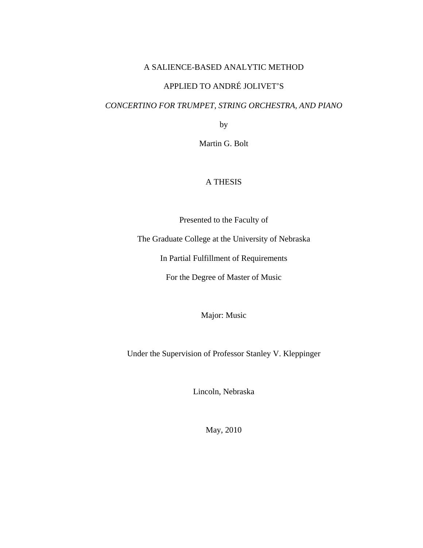### A SALIENCE-BASED ANALYTIC METHOD

### APPLIED TO ANDRÉ JOLIVET'S

### *CONCERTINO FOR TRUMPET, STRING ORCHESTRA, AND PIANO*

by

Martin G. Bolt

### A THESIS

Presented to the Faculty of

The Graduate College at the University of Nebraska

In Partial Fulfillment of Requirements

For the Degree of Master of Music

Major: Music

Under the Supervision of Professor Stanley V. Kleppinger

Lincoln, Nebraska

May, 2010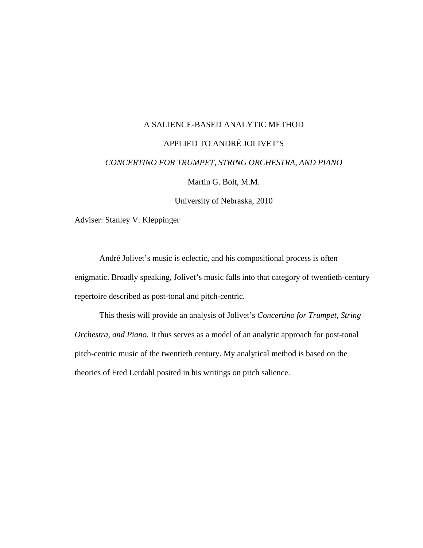### A SALIENCE-BASED ANALYTIC METHOD

### APPLIED TO ANDRÉ JOLIVET'S

#### *CONCERTINO FOR TRUMPET, STRING ORCHESTRA, AND PIANO*

Martin G. Bolt, M.M.

University of Nebraska, 2010

Adviser: Stanley V. Kleppinger

 André Jolivet's music is eclectic, and his compositional process is often enigmatic. Broadly speaking, Jolivet's music falls into that category of twentieth-century repertoire described as post-tonal and pitch-centric.

 This thesis will provide an analysis of Jolivet's *Concertino for Trumpet, String Orchestra, and Piano.* It thus serves as a model of an analytic approach for post-tonal pitch-centric music of the twentieth century. My analytical method is based on the theories of Fred Lerdahl posited in his writings on pitch salience.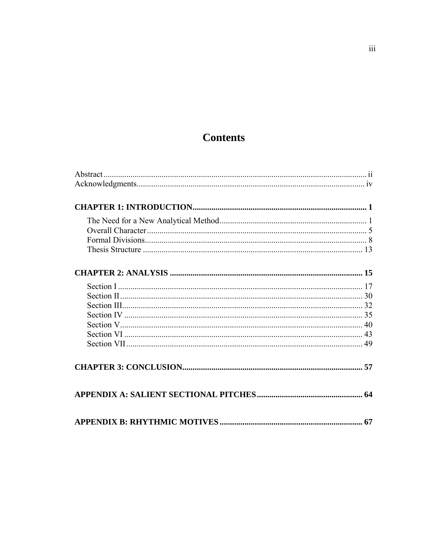# **Contents**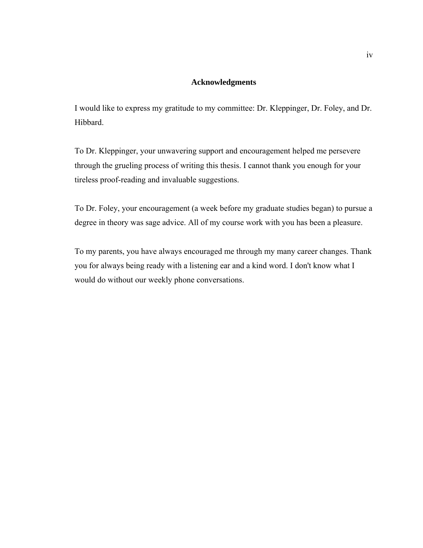### **Acknowledgments**

I would like to express my gratitude to my committee: Dr. Kleppinger, Dr. Foley, and Dr. Hibbard.

To Dr. Kleppinger, your unwavering support and encouragement helped me persevere through the grueling process of writing this thesis. I cannot thank you enough for your tireless proof-reading and invaluable suggestions.

To Dr. Foley, your encouragement (a week before my graduate studies began) to pursue a degree in theory was sage advice. All of my course work with you has been a pleasure.

To my parents, you have always encouraged me through my many career changes. Thank you for always being ready with a listening ear and a kind word. I don't know what I would do without our weekly phone conversations.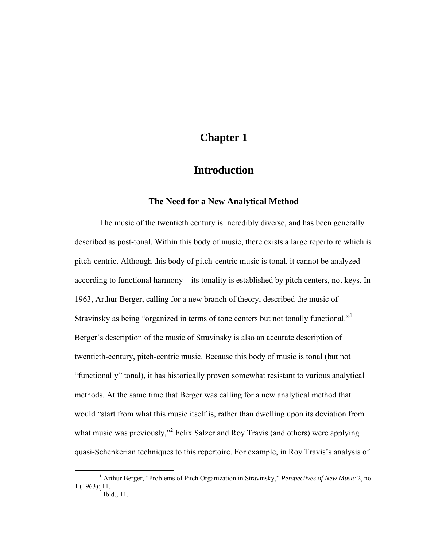# **Chapter 1**

## **Introduction**

### **The Need for a New Analytical Method**

The music of the twentieth century is incredibly diverse, and has been generally described as post-tonal. Within this body of music, there exists a large repertoire which is pitch-centric. Although this body of pitch-centric music is tonal, it cannot be analyzed according to functional harmony—its tonality is established by pitch centers, not keys. In 1963, Arthur Berger, calling for a new branch of theory, described the music of Stravinsky as being "organized in terms of tone centers but not tonally functional." Berger's description of the music of Stravinsky is also an accurate description of twentieth-century, pitch-centric music. Because this body of music is tonal (but not "functionally" tonal), it has historically proven somewhat resistant to various analytical methods. At the same time that Berger was calling for a new analytical method that would "start from what this music itself is, rather than dwelling upon its deviation from what music was previously,"<sup>2</sup> Felix Salzer and Roy Travis (and others) were applying quasi-Schenkerian techniques to this repertoire. For example, in Roy Travis's analysis of

 $\frac{1}{1}$  Arthur Berger, "Problems of Pitch Organization in Stravinsky," *Perspectives of New Music* 2, no. 1 (1963): 11.<br> $^{2}$  Ibid., 11.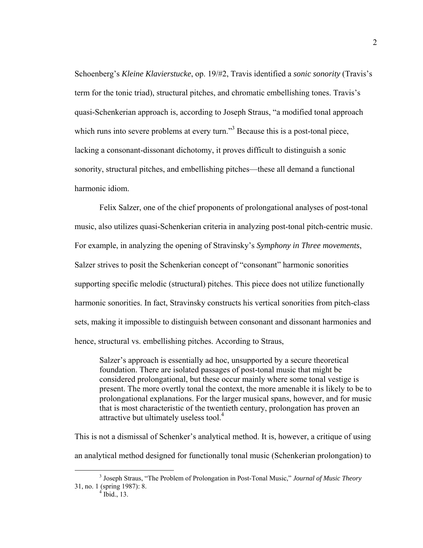Schoenberg's *Kleine Klavierstucke*, op. 19/#2, Travis identified a *sonic sonority* (Travis's term for the tonic triad), structural pitches, and chromatic embellishing tones. Travis's quasi-Schenkerian approach is, according to Joseph Straus, "a modified tonal approach which runs into severe problems at every turn."<sup>3</sup> Because this is a post-tonal piece, lacking a consonant-dissonant dichotomy, it proves difficult to distinguish a sonic sonority, structural pitches, and embellishing pitches—these all demand a functional harmonic idiom.

Felix Salzer, one of the chief proponents of prolongational analyses of post-tonal music, also utilizes quasi-Schenkerian criteria in analyzing post-tonal pitch-centric music. For example, in analyzing the opening of Stravinsky's *Symphony in Three movements*, Salzer strives to posit the Schenkerian concept of "consonant" harmonic sonorities supporting specific melodic (structural) pitches. This piece does not utilize functionally harmonic sonorities. In fact, Stravinsky constructs his vertical sonorities from pitch-class sets, making it impossible to distinguish between consonant and dissonant harmonies and hence, structural vs. embellishing pitches. According to Straus,

Salzer's approach is essentially ad hoc, unsupported by a secure theoretical foundation. There are isolated passages of post-tonal music that might be considered prolongational, but these occur mainly where some tonal vestige is present. The more overtly tonal the context, the more amenable it is likely to be to prolongational explanations. For the larger musical spans, however, and for music that is most characteristic of the twentieth century, prolongation has proven an attractive but ultimately useless tool.<sup>4</sup>

This is not a dismissal of Schenker's analytical method. It is, however, a critique of using an analytical method designed for functionally tonal music (Schenkerian prolongation) to

 $\frac{1}{3}$  Joseph Straus, "The Problem of Prolongation in Post-Tonal Music," *Journal of Music Theory* 31, no. 1 (spring 1987): 8. 4 Ibid., 13.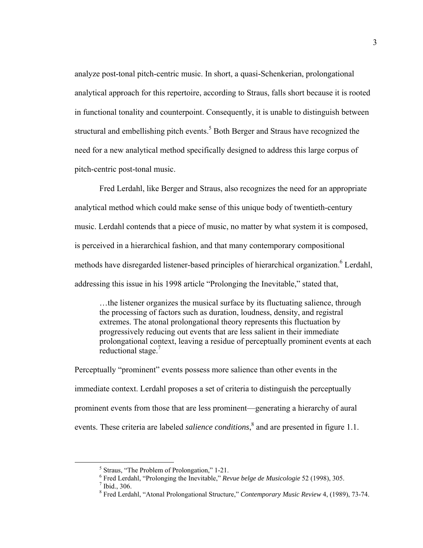analyze post-tonal pitch-centric music. In short, a quasi-Schenkerian, prolongational analytical approach for this repertoire, according to Straus, falls short because it is rooted in functional tonality and counterpoint. Consequently, it is unable to distinguish between structural and embellishing pitch events.<sup>5</sup> Both Berger and Straus have recognized the need for a new analytical method specifically designed to address this large corpus of pitch-centric post-tonal music.

Fred Lerdahl, like Berger and Straus, also recognizes the need for an appropriate analytical method which could make sense of this unique body of twentieth-century music. Lerdahl contends that a piece of music, no matter by what system it is composed, is perceived in a hierarchical fashion, and that many contemporary compositional methods have disregarded listener-based principles of hierarchical organization.<sup>6</sup> Lerdahl, addressing this issue in his 1998 article "Prolonging the Inevitable," stated that,

…the listener organizes the musical surface by its fluctuating salience, through the processing of factors such as duration, loudness, density, and registral extremes. The atonal prolongational theory represents this fluctuation by progressively reducing out events that are less salient in their immediate prolongational context, leaving a residue of perceptually prominent events at each reductional stage.<sup>7</sup>

Perceptually "prominent" events possess more salience than other events in the immediate context. Lerdahl proposes a set of criteria to distinguish the perceptually prominent events from those that are less prominent—generating a hierarchy of aural events. These criteria are labeled *salience conditions*, 8 and are presented in figure 1.1.

 $rac{1}{5}$  $<sup>5</sup>$  Straus, "The Problem of Prolongation," 1-21.</sup>

<sup>&</sup>lt;sup>6</sup> Fred Lerdahl, "Prolonging the Inevitable," *Revue belge de Musicologie* 52 (1998), 305.<br><sup>7</sup> Ibid. 306

 $<sup>7</sup>$  Ibid., 306.</sup>

<sup>8</sup> Fred Lerdahl, "Atonal Prolongational Structure," *Contemporary Music Review* 4, (1989), 73-74.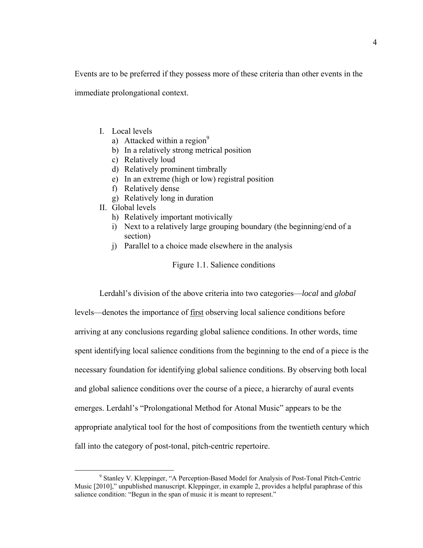Events are to be preferred if they possess more of these criteria than other events in the

immediate prolongational context.

- I. Local levels
	- a) Attacked within a region<sup>9</sup>
	- b) In a relatively strong metrical position
	- c) Relatively loud
	- d) Relatively prominent timbrally
	- e) In an extreme (high or low) registral position
	- f) Relatively dense
	- g) Relatively long in duration
- II. Global levels
	- h) Relatively important motivically
	- i) Next to a relatively large grouping boundary (the beginning/end of a section)
	- j) Parallel to a choice made elsewhere in the analysis

Figure 1.1. Salience conditions

Lerdahl's division of the above criteria into two categories—*local* and *global* levels—denotes the importance of first observing local salience conditions before arriving at any conclusions regarding global salience conditions. In other words, time spent identifying local salience conditions from the beginning to the end of a piece is the necessary foundation for identifying global salience conditions. By observing both local and global salience conditions over the course of a piece, a hierarchy of aural events emerges. Lerdahl's "Prolongational Method for Atonal Music" appears to be the appropriate analytical tool for the host of compositions from the twentieth century which fall into the category of post-tonal, pitch-centric repertoire.

 $\frac{1}{\sqrt{9}}$  Stanley V. Kleppinger, "A Perception-Based Model for Analysis of Post-Tonal Pitch-Centric Music [2010]," unpublished manuscript. Kleppinger, in example 2, provides a helpful paraphrase of this salience condition: "Begun in the span of music it is meant to represent."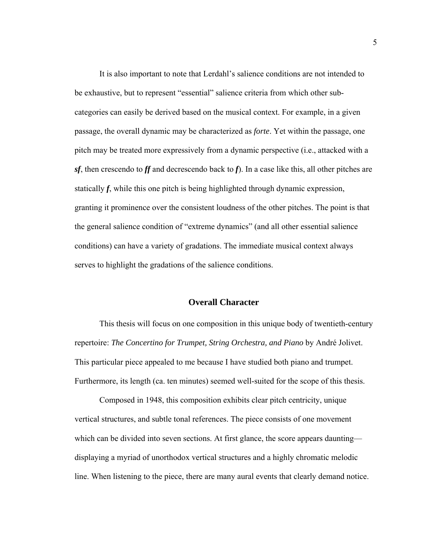It is also important to note that Lerdahl's salience conditions are not intended to be exhaustive, but to represent "essential" salience criteria from which other subcategories can easily be derived based on the musical context. For example, in a given passage, the overall dynamic may be characterized as *forte*. Yet within the passage, one pitch may be treated more expressively from a dynamic perspective (i.e., attacked with a *sf*, then crescendo to *ff* and decrescendo back to *f*). In a case like this, all other pitches are statically *f*, while this one pitch is being highlighted through dynamic expression, granting it prominence over the consistent loudness of the other pitches. The point is that the general salience condition of "extreme dynamics" (and all other essential salience conditions) can have a variety of gradations. The immediate musical context always serves to highlight the gradations of the salience conditions.

### **Overall Character**

This thesis will focus on one composition in this unique body of twentieth-century repertoire: *The Concertino for Trumpet, String Orchestra, and Piano* by André Jolivet. This particular piece appealed to me because I have studied both piano and trumpet. Furthermore, its length (ca. ten minutes) seemed well-suited for the scope of this thesis.

Composed in 1948, this composition exhibits clear pitch centricity, unique vertical structures, and subtle tonal references. The piece consists of one movement which can be divided into seven sections. At first glance, the score appears daunting displaying a myriad of unorthodox vertical structures and a highly chromatic melodic line. When listening to the piece, there are many aural events that clearly demand notice.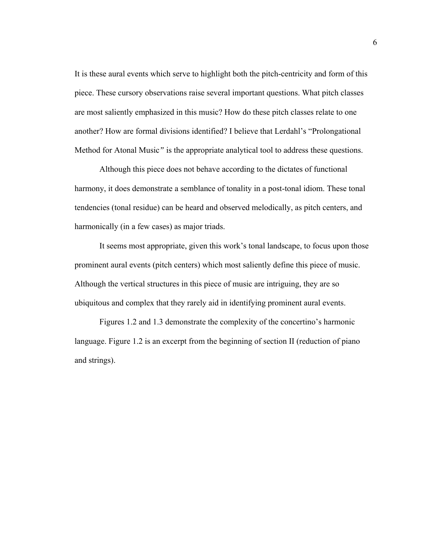It is these aural events which serve to highlight both the pitch-centricity and form of this piece. These cursory observations raise several important questions. What pitch classes are most saliently emphasized in this music? How do these pitch classes relate to one another? How are formal divisions identified? I believe that Lerdahl's "Prolongational Method for Atonal Music*"* is the appropriate analytical tool to address these questions.

Although this piece does not behave according to the dictates of functional harmony, it does demonstrate a semblance of tonality in a post-tonal idiom. These tonal tendencies (tonal residue) can be heard and observed melodically, as pitch centers, and harmonically (in a few cases) as major triads.

 It seems most appropriate, given this work's tonal landscape, to focus upon those prominent aural events (pitch centers) which most saliently define this piece of music. Although the vertical structures in this piece of music are intriguing, they are so ubiquitous and complex that they rarely aid in identifying prominent aural events.

Figures 1.2 and 1.3 demonstrate the complexity of the concertino's harmonic language. Figure 1.2 is an excerpt from the beginning of section II (reduction of piano and strings).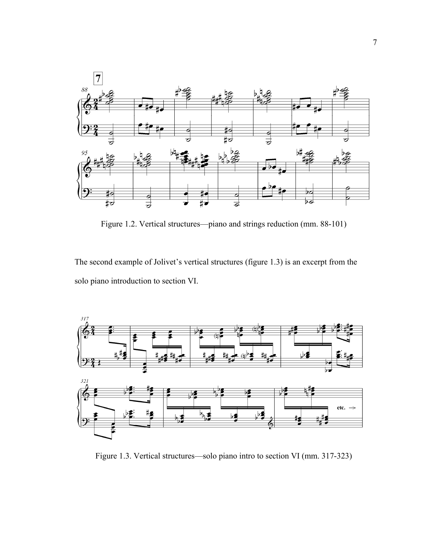

Figure 1.2. Vertical structures—piano and strings reduction (mm. 88-101)

The second example of Jolivet's vertical structures (figure 1.3) is an excerpt from the solo piano introduction to section VI.



Figure 1.3. Vertical structures—solo piano intro to section VI (mm. 317-323)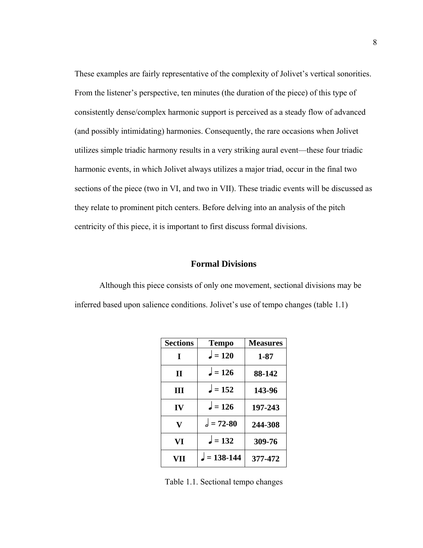These examples are fairly representative of the complexity of Jolivet's vertical sonorities. From the listener's perspective, ten minutes (the duration of the piece) of this type of consistently dense/complex harmonic support is perceived as a steady flow of advanced (and possibly intimidating) harmonies. Consequently, the rare occasions when Jolivet utilizes simple triadic harmony results in a very striking aural event—these four triadic harmonic events, in which Jolivet always utilizes a major triad, occur in the final two sections of the piece (two in VI, and two in VII). These triadic events will be discussed as they relate to prominent pitch centers. Before delving into an analysis of the pitch centricity of this piece, it is important to first discuss formal divisions.

### **Formal Divisions**

Although this piece consists of only one movement, sectional divisions may be inferred based upon salience conditions. Jolivet's use of tempo changes (table 1.1)

| <b>Sections</b> | <b>Tempo</b>    | <b>Measures</b> |
|-----------------|-----------------|-----------------|
| T               | $\lambda = 120$ | 1-87            |
| П               | $l = 126$       | 88-142          |
| Ш               | $l = 152$       | 143-96          |
| IV              | $= 126$         | 197-243         |
| V               | $d = 72 - 80$   | 244-308         |
| VI              | $l = 132$       | 309-76          |
| VII             | $= 138 - 144$   | 377-472         |

Table 1.1. Sectional tempo changes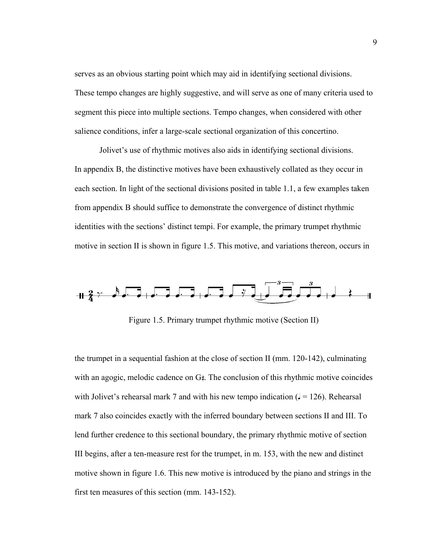serves as an obvious starting point which may aid in identifying sectional divisions. These tempo changes are highly suggestive, and will serve as one of many criteria used to segment this piece into multiple sections. Tempo changes, when considered with other salience conditions, infer a large-scale sectional organization of this concertino.

 Jolivet's use of rhythmic motives also aids in identifying sectional divisions. In appendix B, the distinctive motives have been exhaustively collated as they occur in each section. In light of the sectional divisions posited in table 1.1, a few examples taken from appendix B should suffice to demonstrate the convergence of distinct rhythmic identities with the sections' distinct tempi. For example, the primary trumpet rhythmic motive in section II is shown in figure 1.5. This motive, and variations thereon, occurs in



Figure 1.5. Primary trumpet rhythmic motive (Section II)

the trumpet in a sequential fashion at the close of section II (mm. 120-142), culminating with an agogic, melodic cadence on  $G_{\tau}$ . The conclusion of this rhythmic motive coincides with Jolivet's rehearsal mark 7 and with his new tempo indication  $(1 = 126)$ . Rehearsal mark 7 also coincides exactly with the inferred boundary between sections II and III. To lend further credence to this sectional boundary, the primary rhythmic motive of section III begins, after a ten-measure rest for the trumpet, in m. 153, with the new and distinct motive shown in figure 1.6. This new motive is introduced by the piano and strings in the first ten measures of this section (mm. 143-152).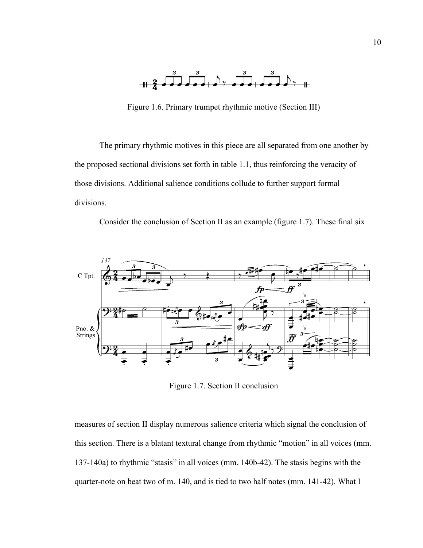

Figure 1.6. Primary trumpet rhythmic motive (Section III)

The primary rhythmic motives in this piece are all separated from one another by the proposed sectional divisions set forth in table 1.1, thus reinforcing the veracity of those divisions. Additional salience conditions collude to further support formal divisions.

Consider the conclusion of Section II as an example (figure 1.7). These final six



Figure 1.7. Section II conclusion

measures of section II display numerous salience criteria which signal the conclusion of this section. There is a blatant textural change from rhythmic "motion" in all voices (mm. 137-140a) to rhythmic "stasis" in all voices (mm. 140b-42). The stasis begins with the quarter-note on beat two of m. 140, and is tied to two half notes (mm. 141-42). What I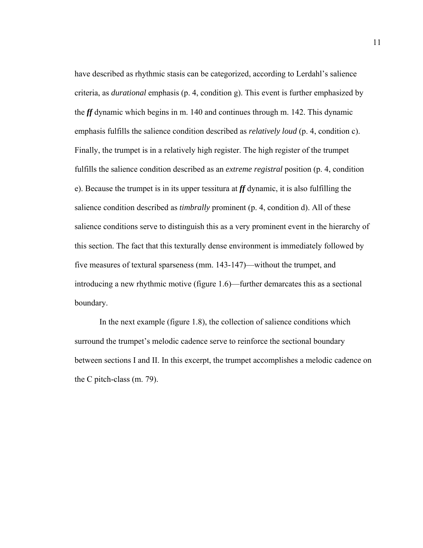have described as rhythmic stasis can be categorized, according to Lerdahl's salience criteria, as *durational* emphasis (p. 4, condition g). This event is further emphasized by the *ff* dynamic which begins in m. 140 and continues through m. 142. This dynamic emphasis fulfills the salience condition described as *relatively loud* (p. 4, condition c). Finally, the trumpet is in a relatively high register. The high register of the trumpet fulfills the salience condition described as an *extreme registral* position (p. 4, condition e). Because the trumpet is in its upper tessitura at *ff* dynamic, it is also fulfilling the salience condition described as *timbrally* prominent (p. 4, condition d). All of these salience conditions serve to distinguish this as a very prominent event in the hierarchy of this section. The fact that this texturally dense environment is immediately followed by five measures of textural sparseness (mm. 143-147)—without the trumpet, and introducing a new rhythmic motive (figure 1.6)—further demarcates this as a sectional boundary.

 In the next example (figure 1.8), the collection of salience conditions which surround the trumpet's melodic cadence serve to reinforce the sectional boundary between sections I and II. In this excerpt, the trumpet accomplishes a melodic cadence on the C pitch-class (m. 79).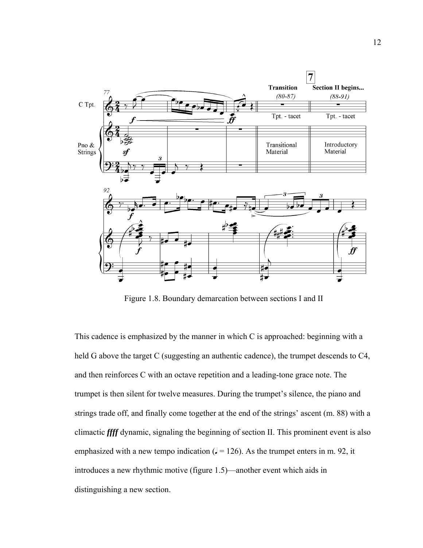

Figure 1.8. Boundary demarcation between sections I and II

This cadence is emphasized by the manner in which C is approached: beginning with a held G above the target C (suggesting an authentic cadence), the trumpet descends to C4, and then reinforces C with an octave repetition and a leading-tone grace note. The trumpet is then silent for twelve measures. During the trumpet's silence, the piano and strings trade off, and finally come together at the end of the strings' ascent (m. 88) with a climactic *ffff* dynamic, signaling the beginning of section II. This prominent event is also emphasized with a new tempo indication  $(1 = 126)$ . As the trumpet enters in m. 92, it introduces a new rhythmic motive (figure 1.5)—another event which aids in distinguishing a new section.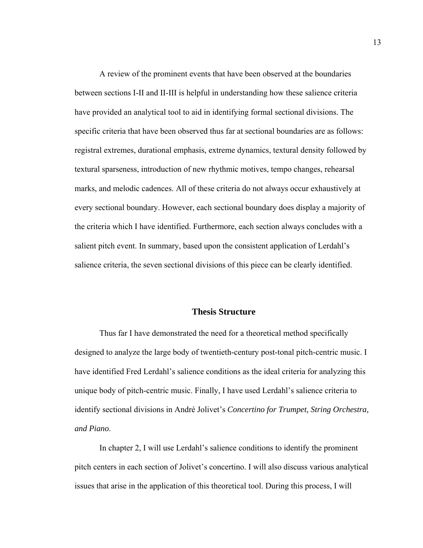A review of the prominent events that have been observed at the boundaries between sections I-II and II-III is helpful in understanding how these salience criteria have provided an analytical tool to aid in identifying formal sectional divisions. The specific criteria that have been observed thus far at sectional boundaries are as follows: registral extremes, durational emphasis, extreme dynamics, textural density followed by textural sparseness, introduction of new rhythmic motives, tempo changes, rehearsal marks, and melodic cadences. All of these criteria do not always occur exhaustively at every sectional boundary. However, each sectional boundary does display a majority of the criteria which I have identified. Furthermore, each section always concludes with a salient pitch event. In summary, based upon the consistent application of Lerdahl's salience criteria, the seven sectional divisions of this piece can be clearly identified.

### **Thesis Structure**

 Thus far I have demonstrated the need for a theoretical method specifically designed to analyze the large body of twentieth-century post-tonal pitch-centric music. I have identified Fred Lerdahl's salience conditions as the ideal criteria for analyzing this unique body of pitch-centric music. Finally, I have used Lerdahl's salience criteria to identify sectional divisions in André Jolivet's *Concertino for Trumpet, String Orchestra, and Piano*.

 In chapter 2, I will use Lerdahl's salience conditions to identify the prominent pitch centers in each section of Jolivet's concertino. I will also discuss various analytical issues that arise in the application of this theoretical tool. During this process, I will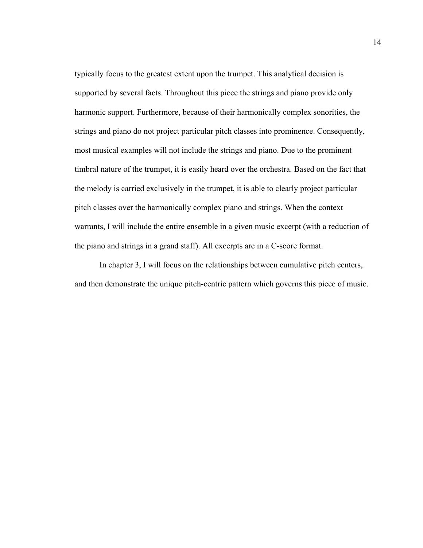typically focus to the greatest extent upon the trumpet. This analytical decision is supported by several facts. Throughout this piece the strings and piano provide only harmonic support. Furthermore, because of their harmonically complex sonorities, the strings and piano do not project particular pitch classes into prominence. Consequently, most musical examples will not include the strings and piano. Due to the prominent timbral nature of the trumpet, it is easily heard over the orchestra. Based on the fact that the melody is carried exclusively in the trumpet, it is able to clearly project particular pitch classes over the harmonically complex piano and strings. When the context warrants, I will include the entire ensemble in a given music excerpt (with a reduction of the piano and strings in a grand staff). All excerpts are in a C-score format.

 In chapter 3, I will focus on the relationships between cumulative pitch centers, and then demonstrate the unique pitch-centric pattern which governs this piece of music.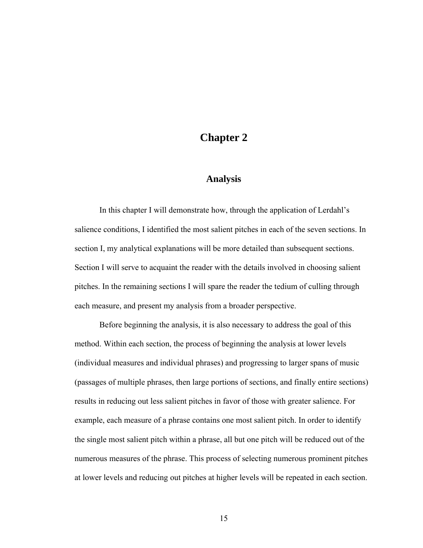# **Chapter 2**

### **Analysis**

 In this chapter I will demonstrate how, through the application of Lerdahl's salience conditions, I identified the most salient pitches in each of the seven sections. In section I, my analytical explanations will be more detailed than subsequent sections. Section I will serve to acquaint the reader with the details involved in choosing salient pitches. In the remaining sections I will spare the reader the tedium of culling through each measure, and present my analysis from a broader perspective.

 Before beginning the analysis, it is also necessary to address the goal of this method. Within each section, the process of beginning the analysis at lower levels (individual measures and individual phrases) and progressing to larger spans of music (passages of multiple phrases, then large portions of sections, and finally entire sections) results in reducing out less salient pitches in favor of those with greater salience. For example, each measure of a phrase contains one most salient pitch. In order to identify the single most salient pitch within a phrase, all but one pitch will be reduced out of the numerous measures of the phrase. This process of selecting numerous prominent pitches at lower levels and reducing out pitches at higher levels will be repeated in each section.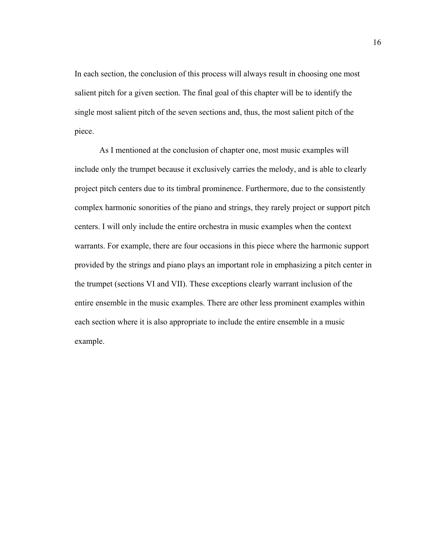In each section, the conclusion of this process will always result in choosing one most salient pitch for a given section. The final goal of this chapter will be to identify the single most salient pitch of the seven sections and, thus, the most salient pitch of the piece.

 As I mentioned at the conclusion of chapter one, most music examples will include only the trumpet because it exclusively carries the melody, and is able to clearly project pitch centers due to its timbral prominence. Furthermore, due to the consistently complex harmonic sonorities of the piano and strings, they rarely project or support pitch centers. I will only include the entire orchestra in music examples when the context warrants. For example, there are four occasions in this piece where the harmonic support provided by the strings and piano plays an important role in emphasizing a pitch center in the trumpet (sections VI and VII). These exceptions clearly warrant inclusion of the entire ensemble in the music examples. There are other less prominent examples within each section where it is also appropriate to include the entire ensemble in a music example.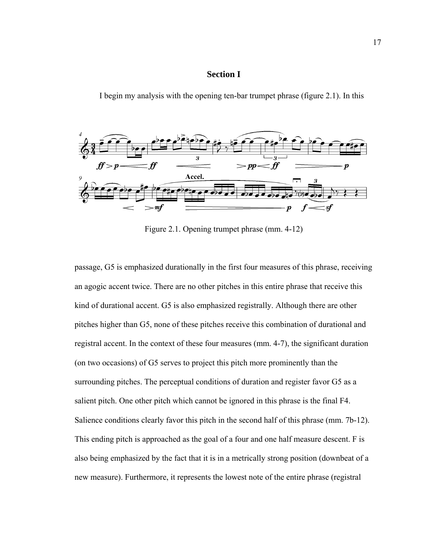### **Section I**

I begin my analysis with the opening ten-bar trumpet phrase (figure 2.1). In this



Figure 2.1. Opening trumpet phrase (mm. 4-12)

passage, G5 is emphasized durationally in the first four measures of this phrase, receiving an agogic accent twice. There are no other pitches in this entire phrase that receive this kind of durational accent. G5 is also emphasized registrally. Although there are other pitches higher than G5, none of these pitches receive this combination of durational and registral accent. In the context of these four measures (mm. 4-7), the significant duration (on two occasions) of G5 serves to project this pitch more prominently than the surrounding pitches. The perceptual conditions of duration and register favor G5 as a salient pitch. One other pitch which cannot be ignored in this phrase is the final F4. Salience conditions clearly favor this pitch in the second half of this phrase (mm. 7b-12). This ending pitch is approached as the goal of a four and one half measure descent. F is also being emphasized by the fact that it is in a metrically strong position (downbeat of a new measure). Furthermore, it represents the lowest note of the entire phrase (registral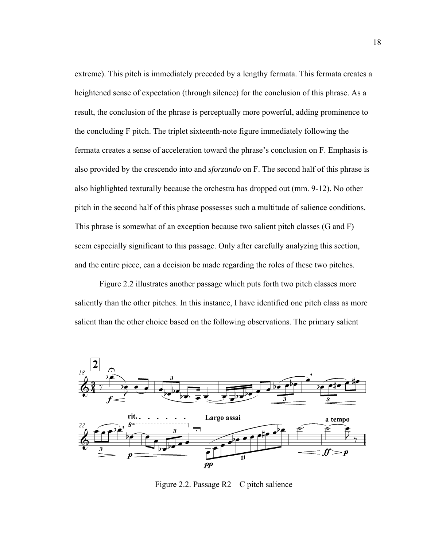extreme). This pitch is immediately preceded by a lengthy fermata. This fermata creates a heightened sense of expectation (through silence) for the conclusion of this phrase. As a result, the conclusion of the phrase is perceptually more powerful, adding prominence to the concluding F pitch. The triplet sixteenth-note figure immediately following the fermata creates a sense of acceleration toward the phrase's conclusion on F. Emphasis is also provided by the crescendo into and *sforzando* on F. The second half of this phrase is also highlighted texturally because the orchestra has dropped out (mm. 9-12). No other pitch in the second half of this phrase possesses such a multitude of salience conditions. This phrase is somewhat of an exception because two salient pitch classes (G and F) seem especially significant to this passage. Only after carefully analyzing this section, and the entire piece, can a decision be made regarding the roles of these two pitches.

 Figure 2.2 illustrates another passage which puts forth two pitch classes more saliently than the other pitches. In this instance, I have identified one pitch class as more salient than the other choice based on the following observations. The primary salient



Figure 2.2. Passage R2—C pitch salience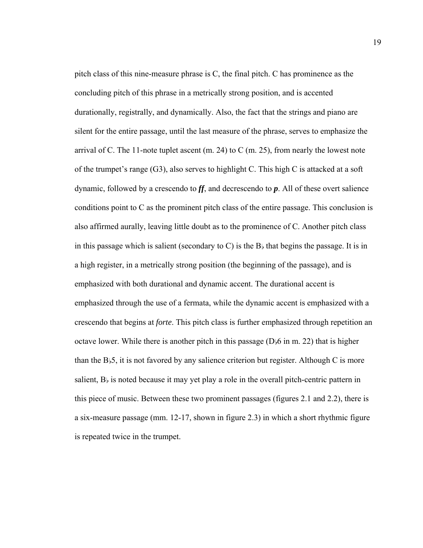pitch class of this nine-measure phrase is C, the final pitch. C has prominence as the concluding pitch of this phrase in a metrically strong position, and is accented durationally, registrally, and dynamically. Also, the fact that the strings and piano are silent for the entire passage, until the last measure of the phrase, serves to emphasize the arrival of C. The 11-note tuplet ascent  $(m. 24)$  to C  $(m. 25)$ , from nearly the lowest note of the trumpet's range (G3), also serves to highlight C. This high C is attacked at a soft dynamic, followed by a crescendo to *ff*, and decrescendo to *p*. All of these overt salience conditions point to C as the prominent pitch class of the entire passage. This conclusion is also affirmed aurally, leaving little doubt as to the prominence of C. Another pitch class in this passage which is salient (secondary to C) is the B $\flat$  that begins the passage. It is in a high register, in a metrically strong position (the beginning of the passage), and is emphasized with both durational and dynamic accent. The durational accent is emphasized through the use of a fermata, while the dynamic accent is emphasized with a crescendo that begins at *forte*. This pitch class is further emphasized through repetition an octave lower. While there is another pitch in this passage ( $D_{\nu}6$  in m. 22) that is higher than the  $B_{\frac{1}{2}}$ , it is not favored by any salience criterion but register. Although C is more salient,  $B_{\flat}$  is noted because it may yet play a role in the overall pitch-centric pattern in this piece of music. Between these two prominent passages (figures 2.1 and 2.2), there is a six-measure passage (mm. 12-17, shown in figure 2.3) in which a short rhythmic figure is repeated twice in the trumpet.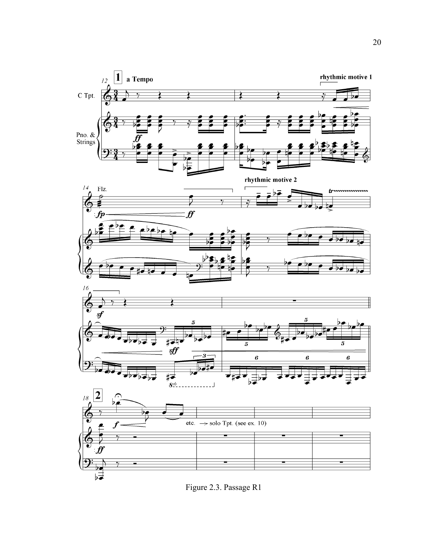

Figure 2.3. Passage R1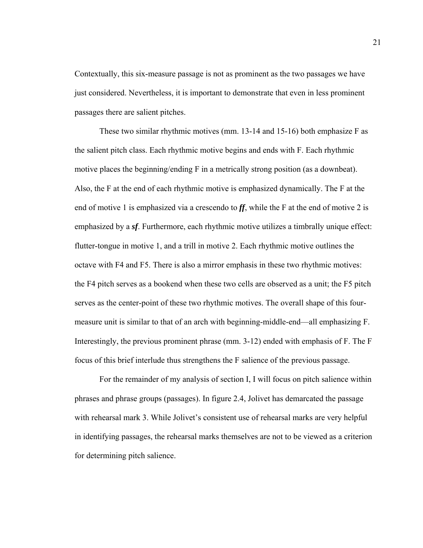Contextually, this six-measure passage is not as prominent as the two passages we have just considered. Nevertheless, it is important to demonstrate that even in less prominent passages there are salient pitches.

These two similar rhythmic motives (mm. 13-14 and 15-16) both emphasize F as the salient pitch class. Each rhythmic motive begins and ends with F. Each rhythmic motive places the beginning/ending F in a metrically strong position (as a downbeat). Also, the F at the end of each rhythmic motive is emphasized dynamically. The F at the end of motive 1 is emphasized via a crescendo to *ff*, while the F at the end of motive 2 is emphasized by a *sf*. Furthermore, each rhythmic motive utilizes a timbrally unique effect: flutter-tongue in motive 1, and a trill in motive 2. Each rhythmic motive outlines the octave with F4 and F5. There is also a mirror emphasis in these two rhythmic motives: the F4 pitch serves as a bookend when these two cells are observed as a unit; the F5 pitch serves as the center-point of these two rhythmic motives. The overall shape of this fourmeasure unit is similar to that of an arch with beginning-middle-end—all emphasizing F. Interestingly, the previous prominent phrase (mm. 3-12) ended with emphasis of F. The F focus of this brief interlude thus strengthens the F salience of the previous passage.

For the remainder of my analysis of section I, I will focus on pitch salience within phrases and phrase groups (passages). In figure 2.4, Jolivet has demarcated the passage with rehearsal mark 3. While Jolivet's consistent use of rehearsal marks are very helpful in identifying passages, the rehearsal marks themselves are not to be viewed as a criterion for determining pitch salience.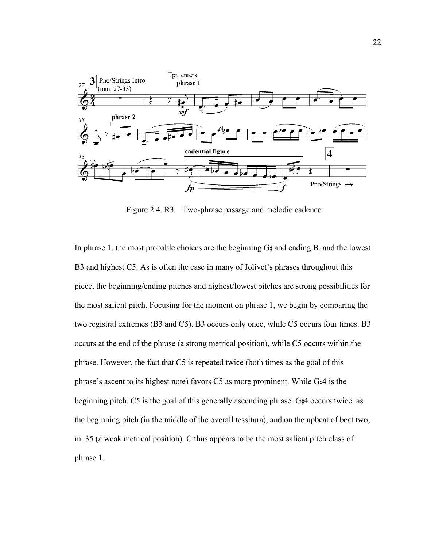

Figure 2.4. R3—Two-phrase passage and melodic cadence

In phrase 1, the most probable choices are the beginning  $G\sharp$  and ending B, and the lowest B3 and highest C5. As is often the case in many of Jolivet's phrases throughout this piece, the beginning/ending pitches and highest/lowest pitches are strong possibilities for the most salient pitch. Focusing for the moment on phrase 1, we begin by comparing the two registral extremes (B3 and C5). B3 occurs only once, while C5 occurs four times. B3 occurs at the end of the phrase (a strong metrical position), while C5 occurs within the phrase. However, the fact that C5 is repeated twice (both times as the goal of this phrase's ascent to its highest note) favors  $C_5$  as more prominent. While  $G_{\#}$ 4 is the beginning pitch,  $C_5$  is the goal of this generally ascending phrase.  $G_{\#}4$  occurs twice: as the beginning pitch (in the middle of the overall tessitura), and on the upbeat of beat two, m. 35 (a weak metrical position). C thus appears to be the most salient pitch class of phrase 1.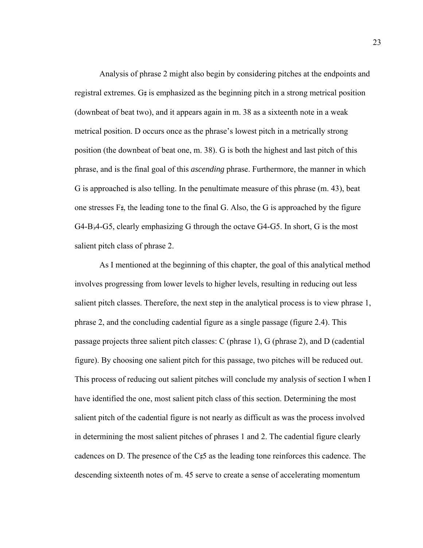Analysis of phrase 2 might also begin by considering pitches at the endpoints and registral extremes.  $G_{\sharp}$  is emphasized as the beginning pitch in a strong metrical position (downbeat of beat two), and it appears again in m. 38 as a sixteenth note in a weak metrical position. D occurs once as the phrase's lowest pitch in a metrically strong position (the downbeat of beat one, m. 38). G is both the highest and last pitch of this phrase, and is the final goal of this *ascending* phrase. Furthermore, the manner in which G is approached is also telling. In the penultimate measure of this phrase (m. 43), beat one stresses  $F_{\sharp}$ , the leading tone to the final G. Also, the G is approached by the figure G4-B $\beta$ 4-G5, clearly emphasizing G through the octave G4-G5. In short, G is the most salient pitch class of phrase 2.

As I mentioned at the beginning of this chapter, the goal of this analytical method involves progressing from lower levels to higher levels, resulting in reducing out less salient pitch classes. Therefore, the next step in the analytical process is to view phrase 1, phrase 2, and the concluding cadential figure as a single passage (figure 2.4). This passage projects three salient pitch classes: C (phrase 1), G (phrase 2), and D (cadential figure). By choosing one salient pitch for this passage, two pitches will be reduced out. This process of reducing out salient pitches will conclude my analysis of section I when I have identified the one, most salient pitch class of this section. Determining the most salient pitch of the cadential figure is not nearly as difficult as was the process involved in determining the most salient pitches of phrases 1 and 2. The cadential figure clearly cadences on D. The presence of the  $C\sharp 5$  as the leading tone reinforces this cadence. The descending sixteenth notes of m. 45 serve to create a sense of accelerating momentum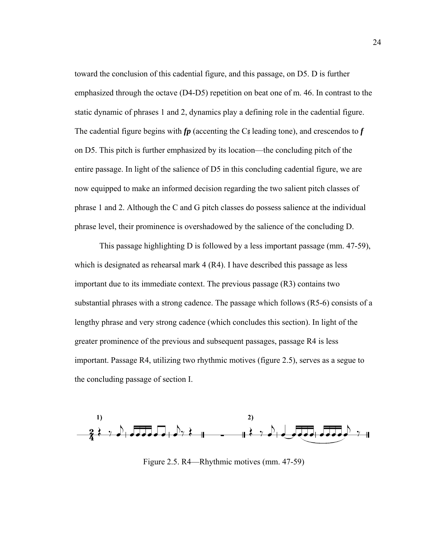toward the conclusion of this cadential figure, and this passage, on D5. D is further emphasized through the octave (D4-D5) repetition on beat one of m. 46. In contrast to the static dynamic of phrases 1 and 2, dynamics play a defining role in the cadential figure. The cadential figure begins with  $f_p$  (accenting the  $C_{\sharp}$  leading tone), and crescendos to  $f$ on D5. This pitch is further emphasized by its location—the concluding pitch of the entire passage. In light of the salience of D5 in this concluding cadential figure, we are now equipped to make an informed decision regarding the two salient pitch classes of phrase 1 and 2. Although the C and G pitch classes do possess salience at the individual phrase level, their prominence is overshadowed by the salience of the concluding D.

This passage highlighting D is followed by a less important passage (mm. 47-59), which is designated as rehearsal mark 4 (R4). I have described this passage as less important due to its immediate context. The previous passage (R3) contains two substantial phrases with a strong cadence. The passage which follows (R5-6) consists of a lengthy phrase and very strong cadence (which concludes this section). In light of the greater prominence of the previous and subsequent passages, passage R4 is less important. Passage R4, utilizing two rhythmic motives (figure 2.5), serves as a segue to the concluding passage of section I.



Figure 2.5. R4—Rhythmic motives (mm. 47-59)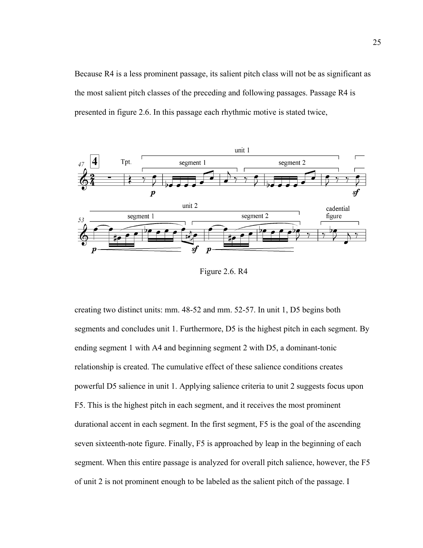Because R4 is a less prominent passage, its salient pitch class will not be as significant as the most salient pitch classes of the preceding and following passages. Passage R4 is presented in figure 2.6. In this passage each rhythmic motive is stated twice,



Figure 2.6. R4

creating two distinct units: mm. 48-52 and mm. 52-57. In unit 1, D5 begins both segments and concludes unit 1. Furthermore, D5 is the highest pitch in each segment. By ending segment 1 with A4 and beginning segment 2 with D5, a dominant-tonic relationship is created. The cumulative effect of these salience conditions creates powerful D5 salience in unit 1. Applying salience criteria to unit 2 suggests focus upon F5. This is the highest pitch in each segment, and it receives the most prominent durational accent in each segment. In the first segment, F5 is the goal of the ascending seven sixteenth-note figure. Finally, F5 is approached by leap in the beginning of each segment. When this entire passage is analyzed for overall pitch salience, however, the F5 of unit 2 is not prominent enough to be labeled as the salient pitch of the passage. I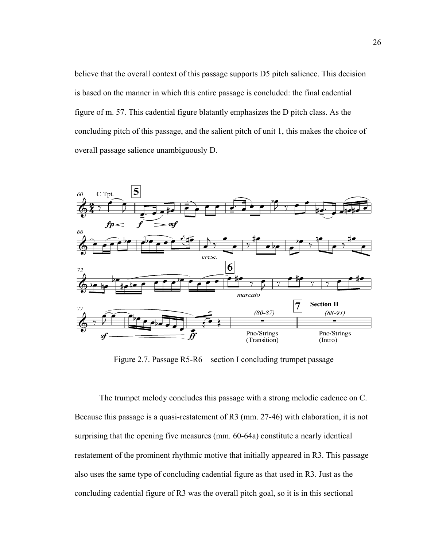believe that the overall context of this passage supports D5 pitch salience. This decision is based on the manner in which this entire passage is concluded: the final cadential figure of m. 57. This cadential figure blatantly emphasizes the D pitch class. As the concluding pitch of this passage, and the salient pitch of unit 1, this makes the choice of overall passage salience unambiguously D.



Figure 2.7. Passage R5-R6—section I concluding trumpet passage

The trumpet melody concludes this passage with a strong melodic cadence on C. Because this passage is a quasi-restatement of R3 (mm. 27-46) with elaboration, it is not surprising that the opening five measures (mm. 60-64a) constitute a nearly identical restatement of the prominent rhythmic motive that initially appeared in R3. This passage also uses the same type of concluding cadential figure as that used in R3. Just as the concluding cadential figure of R3 was the overall pitch goal, so it is in this sectional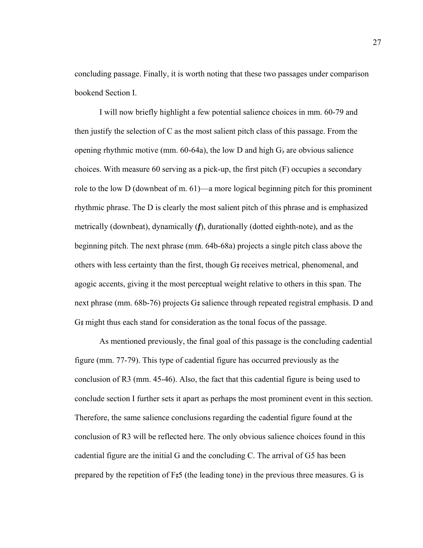concluding passage. Finally, it is worth noting that these two passages under comparison bookend Section I.

I will now briefly highlight a few potential salience choices in mm. 60-79 and then justify the selection of C as the most salient pitch class of this passage. From the opening rhythmic motive (mm.  $60-64a$ ), the low D and high G<sub>b</sub> are obvious salience choices. With measure 60 serving as a pick-up, the first pitch (F) occupies a secondary role to the low D (downbeat of m. 61)—a more logical beginning pitch for this prominent rhythmic phrase. The D is clearly the most salient pitch of this phrase and is emphasized metrically (downbeat), dynamically (*f*), durationally (dotted eighth-note), and as the beginning pitch. The next phrase (mm. 64b-68a) projects a single pitch class above the others with less certainty than the first, though  $G\ddagger$  receives metrical, phenomenal, and agogic accents, giving it the most perceptual weight relative to others in this span. The next phrase (mm. 68b-76) projects  $G\sharp$  salience through repeated registral emphasis. D and  $G$ # might thus each stand for consideration as the tonal focus of the passage.

 As mentioned previously, the final goal of this passage is the concluding cadential figure (mm. 77-79). This type of cadential figure has occurred previously as the conclusion of R3 (mm. 45-46). Also, the fact that this cadential figure is being used to conclude section I further sets it apart as perhaps the most prominent event in this section. Therefore, the same salience conclusions regarding the cadential figure found at the conclusion of R3 will be reflected here. The only obvious salience choices found in this cadential figure are the initial G and the concluding C. The arrival of G5 has been prepared by the repetition of  $F\sharp 5$  (the leading tone) in the previous three measures. G is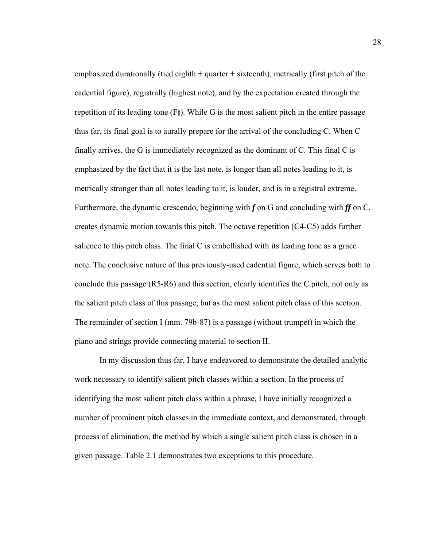emphasized durationally (tied eighth  $+$  quarter  $+$  sixteenth), metrically (first pitch of the cadential figure), registrally (highest note), and by the expectation created through the repetition of its leading tone  $(F)$ . While G is the most salient pitch in the entire passage thus far, its final goal is to aurally prepare for the arrival of the concluding C. When C finally arrives, the G is immediately recognized as the dominant of C. This final C is emphasized by the fact that it is the last note, is longer than all notes leading to it, is metrically stronger than all notes leading to it, is louder, and is in a registral extreme. Furthermore, the dynamic crescendo, beginning with f on G and concluding with ff on C, creates dynamic motion towards this pitch. The octave repetition (C4-C5) adds further salience to this pitch class. The final C is embellished with its leading tone as a grace note. The conclusive nature of this previously-used cadential figure, which serves both to conclude this passage (R5-R6) and this section, clearly identifies the C pitch, not only as the salient pitch class of this passage, but as the most salient pitch class of this section. The remainder of section I (mm. 79b-87) is a passage (without trumpet) in which the piano and strings provide connecting material to section II.

In my discussion thus far, I have endeavored to demonstrate the detailed analytic work necessary to identify salient pitch classes within a section. In the process of identifying the most salient pitch class within a phrase, I have initially recognized a number of prominent pitch classes in the immediate context, and demonstrated, through process of elimination, the method by which a single salient pitch class is chosen in a given passage. Table 2.1 demonstrates two exceptions to this procedure.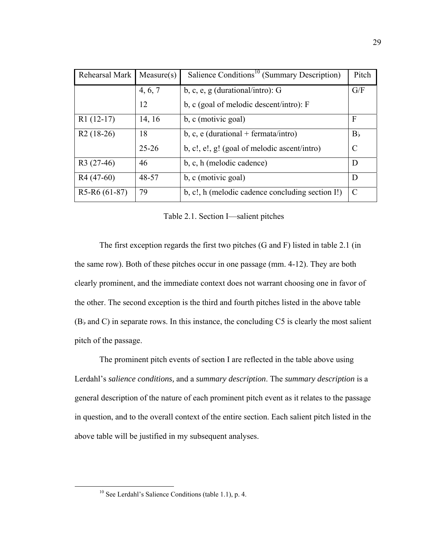| Rehearsal Mark | Measure(s) | Salience Conditions <sup>10</sup> (Summary Description) | Pitch          |
|----------------|------------|---------------------------------------------------------|----------------|
|                | 4, 6, 7    | b, c, e, g (durational/intro): $G$                      | G/F            |
|                | 12         | b, c (goal of melodic descent/intro): $F$               |                |
| $R1(12-17)$    | 14, 16     | b, c (motivic goal)                                     | F              |
| $R2(18-26)$    | 18         | b, c, e (durational + fermata/intro)                    | B <sub>b</sub> |
|                | $25 - 26$  | b, c!, e!, g! (goal of melodic ascent/intro)            | C              |
| $R3(27-46)$    | 46         | b, c, h (melodic cadence)                               | D              |
| R4 (47-60)     | 48-57      | b, c (motivic goal)                                     | D              |
| $R5-R6(61-87)$ | 79         | b, c!, h (melodic cadence concluding section I!)        | C              |

Table 2.1. Section I—salient pitches

The first exception regards the first two pitches (G and F) listed in table 2.1 (in the same row). Both of these pitches occur in one passage (mm. 4-12). They are both clearly prominent, and the immediate context does not warrant choosing one in favor of the other. The second exception is the third and fourth pitches listed in the above table  $(B)$  and C) in separate rows. In this instance, the concluding C5 is clearly the most salient pitch of the passage.

The prominent pitch events of section I are reflected in the table above using Lerdahl's *salience conditions,* and a *summary description*. The *summary description* is a general description of the nature of each prominent pitch event as it relates to the passage in question, and to the overall context of the entire section. Each salient pitch listed in the above table will be justified in my subsequent analyses.

 <sup>10</sup> See Lerdahl's Salience Conditions (table 1.1), p. 4.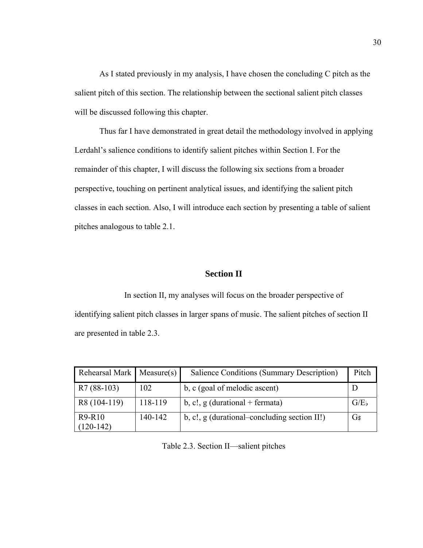As I stated previously in my analysis, I have chosen the concluding C pitch as the salient pitch of this section. The relationship between the sectional salient pitch classes will be discussed following this chapter.

 Thus far I have demonstrated in great detail the methodology involved in applying Lerdahl's salience conditions to identify salient pitches within Section I. For the remainder of this chapter, I will discuss the following six sections from a broader perspective, touching on pertinent analytical issues, and identifying the salient pitch classes in each section. Also, I will introduce each section by presenting a table of salient pitches analogous to table 2.1.

### **Section II**

 In section II, my analyses will focus on the broader perspective of identifying salient pitch classes in larger spans of music. The salient pitches of section II are presented in table 2.3.

| Rehearsal Mark   Measure(s) |         | Salience Conditions (Summary Description)    | Pitch   |
|-----------------------------|---------|----------------------------------------------|---------|
| $R7(88-103)$                | 102     | b, c (goal of melodic ascent)                |         |
| R8 (104-119)                | 118-119 | b, c!, $g$ (durational + fermata)            | $G/E_b$ |
| R9-R10<br>$(120-142)$       | 140-142 | b, c!, g (durational–concluding section II!) | G#      |

Table 2.3. Section II—salient pitches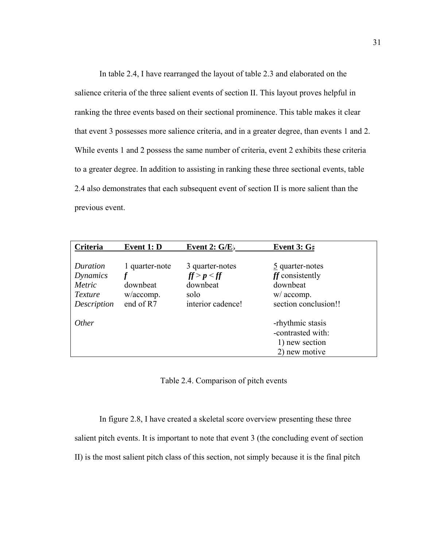In table 2.4, I have rearranged the layout of table 2.3 and elaborated on the salience criteria of the three salient events of section II. This layout proves helpful in ranking the three events based on their sectional prominence. This table makes it clear that event 3 possesses more salience criteria, and in a greater degree, than events 1 and 2. While events 1 and 2 possess the same number of criteria, event 2 exhibits these criteria to a greater degree. In addition to assisting in ranking these three sectional events, table 2.4 also demonstrates that each subsequent event of section II is more salient than the previous event.

| Criteria                                                 | Event 1: D                                           | Event 2: $G/E$                                                          | Event 3: $G#$                                                                                      |
|----------------------------------------------------------|------------------------------------------------------|-------------------------------------------------------------------------|----------------------------------------------------------------------------------------------------|
| Duration<br>Dynamics<br>Metric<br>Texture<br>Description | 1 quarter-note<br>downbeat<br>w/accomp.<br>end of R7 | 3 quarter-notes<br>ff > p < ff<br>downbeat<br>solo<br>interior cadence! | $\frac{5}{2}$ quarter-notes<br>ff consistently<br>downbeat<br>$w/$ accomp.<br>section conclusion!! |
| <i>Other</i>                                             |                                                      |                                                                         | -rhythmic stasis<br>-contrasted with:<br>1) new section<br>2) new motive                           |

Table 2.4. Comparison of pitch events

In figure 2.8, I have created a skeletal score overview presenting these three

salient pitch events. It is important to note that event 3 (the concluding event of section

II) is the most salient pitch class of this section, not simply because it is the final pitch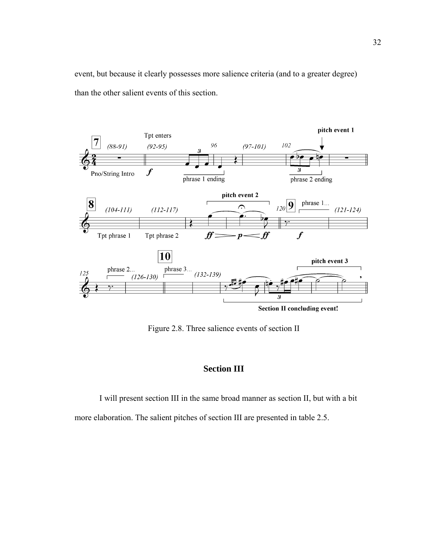event, but because it clearly possesses more salience criteria (and to a greater degree) than the other salient events of this section.



Figure 2.8. Three salience events of section II

## **Section III**

 I will present section III in the same broad manner as section II, but with a bit more elaboration. The salient pitches of section III are presented in table 2.5.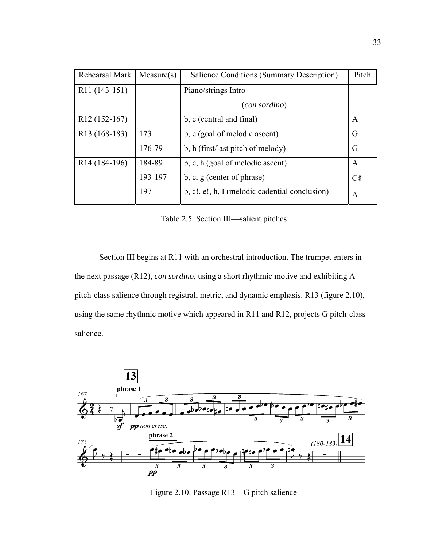| Rehearsal Mark            | Measure(s) | Salience Conditions (Summary Description)      | Pitch |
|---------------------------|------------|------------------------------------------------|-------|
| R <sub>11</sub> (143-151) |            | Piano/strings Intro                            |       |
|                           |            | (con sordino)                                  |       |
| R <sub>12</sub> (152-167) |            | b, c (central and final)                       | A     |
| R <sub>13</sub> (168-183) | 173        | b, c (goal of melodic ascent)                  | G     |
|                           | 176-79     | b, h (first/last pitch of melody)              | G     |
| R <sub>14</sub> (184-196) | 184-89     | b, c, h (goal of melodic ascent)               | A     |
|                           | 193-197    | $b, c, g$ (center of phrase)                   | C#    |
|                           | 197        | b, c!, e!, h, I (melodic cadential conclusion) | A     |

Table 2.5. Section III—salient pitches

Section III begins at R11 with an orchestral introduction. The trumpet enters in the next passage (R12), *con sordino*, using a short rhythmic motive and exhibiting A pitch-class salience through registral, metric, and dynamic emphasis. R13 (figure 2.10), using the same rhythmic motive which appeared in R11 and R12, projects G pitch-class salience.



Figure 2.10. Passage R13—G pitch salience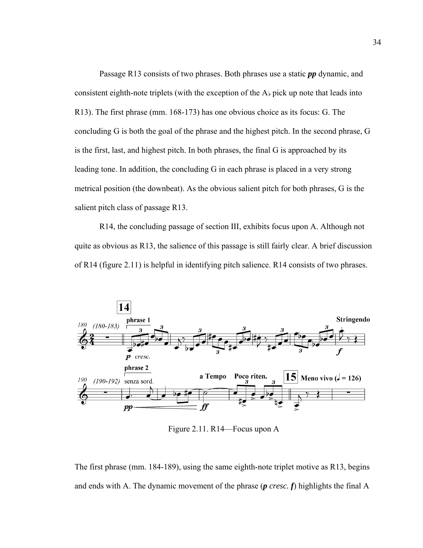Passage R13 consists of two phrases. Both phrases use a static *pp* dynamic, and consistent eighth-note triplets (with the exception of the  $A<sub>k</sub>$  pick up note that leads into R13). The first phrase (mm. 168-173) has one obvious choice as its focus: G. The concluding G is both the goal of the phrase and the highest pitch. In the second phrase, G is the first, last, and highest pitch. In both phrases, the final G is approached by its leading tone. In addition, the concluding G in each phrase is placed in a very strong metrical position (the downbeat). As the obvious salient pitch for both phrases, G is the salient pitch class of passage R13.

R14, the concluding passage of section III, exhibits focus upon A. Although not quite as obvious as R13, the salience of this passage is still fairly clear. A brief discussion of R14 (figure 2.11) is helpful in identifying pitch salience. R14 consists of two phrases.



Figure 2.11. R14—Focus upon A

The first phrase (mm. 184-189), using the same eighth-note triplet motive as R13, begins and ends with A. The dynamic movement of the phrase (*p cresc. f*) highlights the final A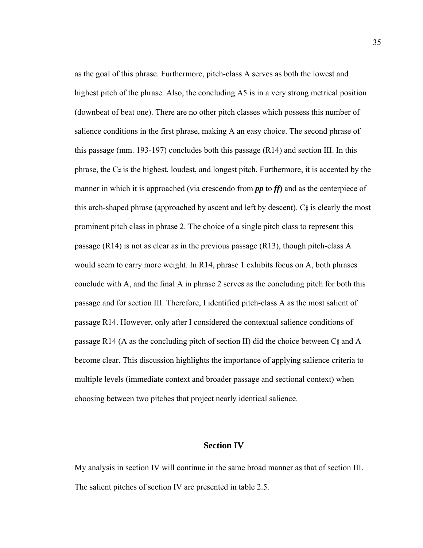as the goal of this phrase. Furthermore, pitch-class A serves as both the lowest and highest pitch of the phrase. Also, the concluding A5 is in a very strong metrical position (downbeat of beat one). There are no other pitch classes which possess this number of salience conditions in the first phrase, making A an easy choice. The second phrase of this passage (mm. 193-197) concludes both this passage (R14) and section III. In this phrase, the  $C_{\#}$  is the highest, loudest, and longest pitch. Furthermore, it is accented by the manner in which it is approached (via crescendo from *pp* to *ff***)** and as the centerpiece of this arch-shaped phrase (approached by ascent and left by descent).  $C_{\sharp}$  is clearly the most prominent pitch class in phrase 2. The choice of a single pitch class to represent this passage (R14) is not as clear as in the previous passage (R13), though pitch-class A would seem to carry more weight. In R14, phrase 1 exhibits focus on A, both phrases conclude with A, and the final A in phrase 2 serves as the concluding pitch for both this passage and for section III. Therefore, I identified pitch-class A as the most salient of passage R14. However, only after I considered the contextual salience conditions of passage R14 (A as the concluding pitch of section II) did the choice between  $C\sharp$  and A become clear. This discussion highlights the importance of applying salience criteria to multiple levels (immediate context and broader passage and sectional context) when choosing between two pitches that project nearly identical salience.

#### **Section IV**

My analysis in section IV will continue in the same broad manner as that of section III. The salient pitches of section IV are presented in table 2.5.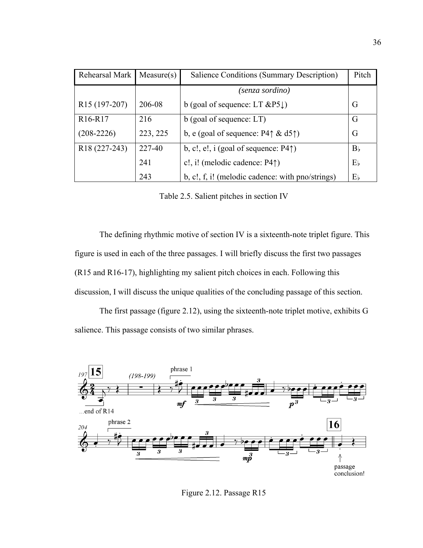| Rehearsal Mark                   | Measure(s) | Salience Conditions (Summary Description)             | Pitch          |
|----------------------------------|------------|-------------------------------------------------------|----------------|
|                                  |            | (senza sordino)                                       |                |
| R <sub>15</sub> (197-207)        | 206-08     | b (goal of sequence: LT $\&P5 \downarrow$ )           | G              |
| R <sub>16</sub> -R <sub>17</sub> | 216        | b (goal of sequence: LT)                              | G              |
| $(208-2226)$                     | 223, 225   | b, e (goal of sequence: P4 $\uparrow \& d5\uparrow$ ) | G              |
| R <sub>18</sub> (227-243)        | 227-40     | b, c!, e!, i (goal of sequence: $P4\uparrow$ )        | B <sub>b</sub> |
|                                  | 241        | c!, i! (melodic cadence: $P4\uparrow$ )               | $E_{b}$        |
|                                  | 243        | b, c!, f, i! (melodic cadence: with pno/strings)      | $E_{b}$        |

Table 2.5. Salient pitches in section IV

The defining rhythmic motive of section IV is a sixteenth-note triplet figure. This figure is used in each of the three passages. I will briefly discuss the first two passages (R15 and R16-17), highlighting my salient pitch choices in each. Following this discussion, I will discuss the unique qualities of the concluding passage of this section.

 The first passage (figure 2.12), using the sixteenth-note triplet motive, exhibits G salience. This passage consists of two similar phrases.



Figure 2.12. Passage R15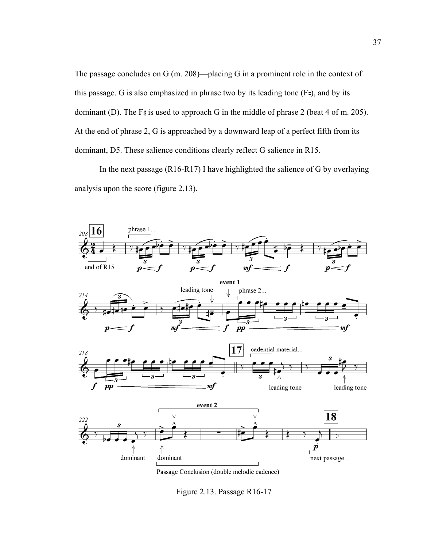The passage concludes on G (m. 208)—placing G in a prominent role in the context of this passage. G is also emphasized in phrase two by its leading tone  $(F_*)$ , and by its dominant (D). The  $F#$  is used to approach G in the middle of phrase 2 (beat 4 of m. 205). At the end of phrase 2, G is approached by a downward leap of a perfect fifth from its dominant, D5. These salience conditions clearly reflect G salience in R15.

 In the next passage (R16-R17) I have highlighted the salience of G by overlaying analysis upon the score (figure 2.13).



Passage Conclusion (double melodic cadence)

Figure 2.13. Passage R16-17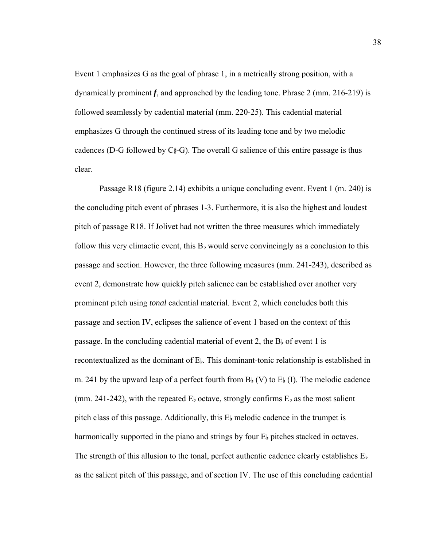Event 1 emphasizes G as the goal of phrase 1, in a metrically strong position, with a dynamically prominent *f*, and approached by the leading tone. Phrase 2 (mm. 216-219) is followed seamlessly by cadential material (mm. 220-25). This cadential material emphasizes G through the continued stress of its leading tone and by two melodic cadences (D-G followed by  $C_{+}^{\mu}$ -G). The overall G salience of this entire passage is thus clear.

 Passage R18 (figure 2.14) exhibits a unique concluding event. Event 1 (m. 240) is the concluding pitch event of phrases 1-3. Furthermore, it is also the highest and loudest pitch of passage R18. If Jolivet had not written the three measures which immediately follow this very climactic event, this  $B<sub>k</sub>$  would serve convincingly as a conclusion to this passage and section. However, the three following measures (mm. 241-243), described as event 2, demonstrate how quickly pitch salience can be established over another very prominent pitch using *tonal* cadential material. Event 2, which concludes both this passage and section IV, eclipses the salience of event 1 based on the context of this passage. In the concluding cadential material of event 2, the  $B<sub>b</sub>$  of event 1 is recontextualized as the dominant of  $E<sub>b</sub>$ . This dominant-tonic relationship is established in m. 241 by the upward leap of a perfect fourth from  $B<sub>b</sub>$  (V) to  $E<sub>b</sub>$  (I). The melodic cadence (mm. 241-242), with the repeated  $E<sub>b</sub>$  octave, strongly confirms  $E<sub>b</sub>$  as the most salient pitch class of this passage. Additionally, this  $E_{\flat}$  melodic cadence in the trumpet is harmonically supported in the piano and strings by four  $E<sub>b</sub>$  pitches stacked in octaves. The strength of this allusion to the tonal, perfect authentic cadence clearly establishes  $E_{\rm b}$ as the salient pitch of this passage, and of section IV. The use of this concluding cadential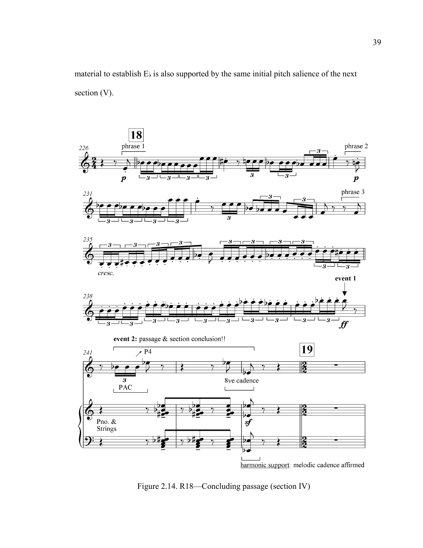



Figure 2.14. R18—Concluding passage (section IV)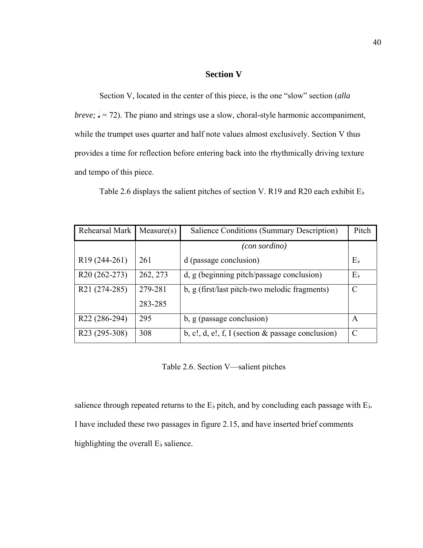### **Section V**

Section V, located in the center of this piece, is the one "slow" section (*alla breve;*  $J = 72$ ). The piano and strings use a slow, choral-style harmonic accompaniment, while the trumpet uses quarter and half note values almost exclusively. Section V thus provides a time for reflection before entering back into the rhythmically driving texture and tempo of this piece.

Table 2.6 displays the salient pitches of section V. R19 and R20 each exhibit  $E<sub>b</sub>$ 

| Rehearsal Mark            | Measure(s) | Salience Conditions (Summary Description)            | Pitch   |
|---------------------------|------------|------------------------------------------------------|---------|
|                           |            | (con sordino)                                        |         |
| R <sub>19</sub> (244-261) | 261        | d (passage conclusion)                               | Е,      |
| R <sub>20</sub> (262-273) | 262, 273   | d, g (beginning pitch/passage conclusion)            | $E_{b}$ |
| R21 (274-285)             | 279-281    | b, g (first/last pitch-two melodic fragments)        | C       |
|                           | 283-285    |                                                      |         |
| R <sub>22</sub> (286-294) | 295        | b, g (passage conclusion)                            | A       |
| R <sub>23</sub> (295-308) | 308        | b, c!, d, e!, f, I (section $\&$ passage conclusion) | C       |

Table 2.6. Section V—salient pitches

salience through repeated returns to the  $E$  pitch, and by concluding each passage with  $E$   $\models$ . I have included these two passages in figure 2.15, and have inserted brief comments highlighting the overall  $E<sub>b</sub>$  salience.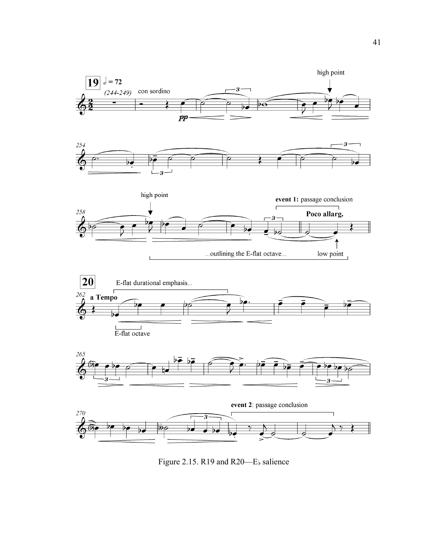

Figure 2.15. R19 and R20-E<sub>b</sub> salience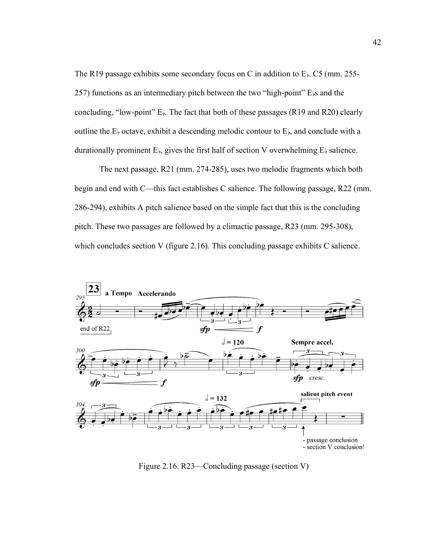The R19 passage exhibits some secondary focus on C in addition to  $E<sub>b</sub>$ . C5 (mm. 255- $257$ ) functions as an intermediary pitch between the two "high-point" E $\beta$ s and the concluding, "low-point"  $E<sub>b</sub>$ . The fact that both of these passages (R19 and R20) clearly outline the  $E_{\rm b}$  octave, exhibit a descending melodic contour to  $E_{\rm b}$ , and conclude with a durationally prominent  $E_{\rm b}$ , gives the first half of section V overwhelming  $E_{\rm b}$  salience.

The next passage, R21 (mm. 274-285), uses two melodic fragments which both begin and end with C—this fact establishes C salience. The following passage, R22 (mm. 286-294), exhibits A pitch salience based on the simple fact that this is the concluding pitch. These two passages are followed by a climactic passage, R23 (mm. 295-308), which concludes section V (figure 2.16). This concluding passage exhibits C salience.



Figure 2.16. R23—Concluding passage (section V)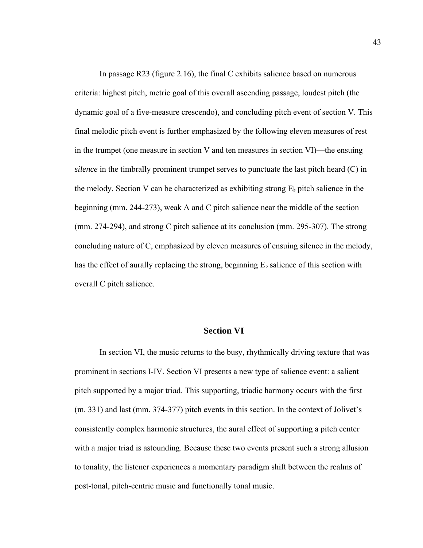In passage R23 (figure 2.16), the final C exhibits salience based on numerous criteria: highest pitch, metric goal of this overall ascending passage, loudest pitch (the dynamic goal of a five-measure crescendo), and concluding pitch event of section V. This final melodic pitch event is further emphasized by the following eleven measures of rest in the trumpet (one measure in section V and ten measures in section VI)—the ensuing *silence* in the timbrally prominent trumpet serves to punctuate the last pitch heard (C) in the melody. Section V can be characterized as exhibiting strong  $E_{\nu}$  pitch salience in the beginning (mm. 244-273), weak A and C pitch salience near the middle of the section (mm. 274-294), and strong C pitch salience at its conclusion (mm. 295-307). The strong concluding nature of C, emphasized by eleven measures of ensuing silence in the melody, has the effect of aurally replacing the strong, beginning  $E<sub>k</sub>$  salience of this section with overall C pitch salience.

#### **Section VI**

 In section VI, the music returns to the busy, rhythmically driving texture that was prominent in sections I-IV. Section VI presents a new type of salience event: a salient pitch supported by a major triad. This supporting, triadic harmony occurs with the first (m. 331) and last (mm. 374-377) pitch events in this section. In the context of Jolivet's consistently complex harmonic structures, the aural effect of supporting a pitch center with a major triad is astounding. Because these two events present such a strong allusion to tonality, the listener experiences a momentary paradigm shift between the realms of post-tonal, pitch-centric music and functionally tonal music.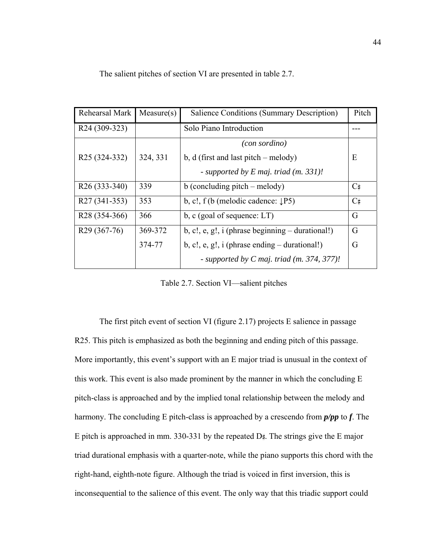| Rehearsal Mark            | Measure(s) | Salience Conditions (Summary Description)              | Pitch        |
|---------------------------|------------|--------------------------------------------------------|--------------|
| R24 (309-323)             |            | Solo Piano Introduction                                |              |
|                           |            | (con <i>sort</i> )                                     |              |
| R <sub>25</sub> (324-332) | 324, 331   | b, $d$ (first and last pitch – melody)                 | E            |
|                           |            | - supported by $E$ maj. triad (m. 331)!                |              |
| R <sub>26</sub> (333-340) | 339        | $b$ (concluding pitch – melody)                        | $C_{\sharp}$ |
| R <sub>27</sub> (341-353) | 353        | b, c!, $f(b \text{ (melodic cadence: } \downarrow P5)$ | C#           |
| R <sub>28</sub> (354-366) | 366        | b, c (goal of sequence: $LT$ )                         | G            |
| R <sub>29</sub> (367-76)  | 369-372    | $b, c!, e, g!, i (phrase beginning - durational!)$     | G            |
|                           | 374-77     | b, c!, e, g!, $i$ (phrase ending $-$ durational!)      | G            |
|                           |            | - supported by $C$ maj. triad (m. 374, 377)!           |              |

The salient pitches of section VI are presented in table 2.7.

Table 2.7. Section VI—salient pitches

 The first pitch event of section VI (figure 2.17) projects E salience in passage R25. This pitch is emphasized as both the beginning and ending pitch of this passage. More importantly, this event's support with an E major triad is unusual in the context of this work. This event is also made prominent by the manner in which the concluding E pitch-class is approached and by the implied tonal relationship between the melody and harmony. The concluding E pitch-class is approached by a crescendo from *p/pp* to *f*. The E pitch is approached in mm. 330-331 by the repeated  $D#$ . The strings give the E major triad durational emphasis with a quarter-note, while the piano supports this chord with the right-hand, eighth-note figure. Although the triad is voiced in first inversion, this is inconsequential to the salience of this event. The only way that this triadic support could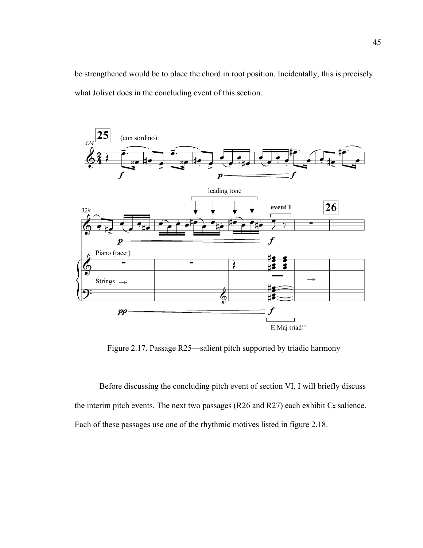be strengthened would be to place the chord in root position. Incidentally, this is precisely what Jolivet does in the concluding event of this section.



Figure 2.17. Passage R25—salient pitch supported by triadic harmony

 Before discussing the concluding pitch event of section VI, I will briefly discuss the interim pitch events. The next two passages (R26 and R27) each exhibit  $C\sharp$  salience. Each of these passages use one of the rhythmic motives listed in figure 2.18.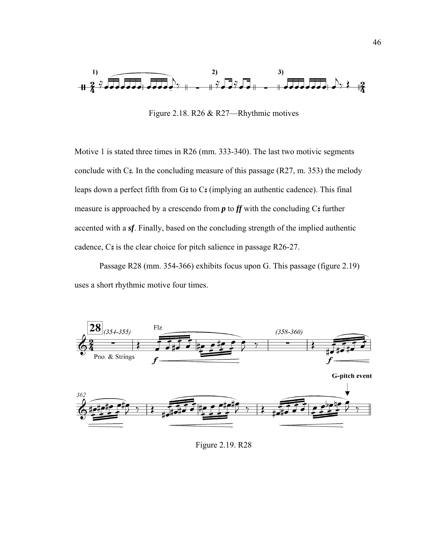

Figure 2.18. R26 & R27—Rhythmic motives

Motive 1 is stated three times in R26 (mm. 333-340). The last two motivic segments conclude with  $C_{\#}$ . In the concluding measure of this passage (R27, m. 353) the melody leaps down a perfect fifth from  $G#$  to  $C#$  (implying an authentic cadence). This final measure is approached by a crescendo from  $p$  to  $f$  with the concluding  $C$  further accented with a *sf*. Finally, based on the concluding strength of the implied authentic cadence,  $C_{\sharp}$  is the clear choice for pitch salience in passage R26-27.

 Passage R28 (mm. 354-366) exhibits focus upon G. This passage (figure 2.19) uses a short rhythmic motive four times.



Figure 2.19. R28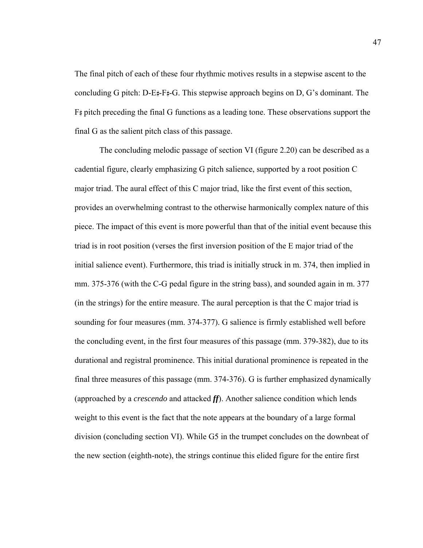The final pitch of each of these four rhythmic motives results in a stepwise ascent to the concluding G pitch: D-E $\sharp$ -F $\sharp$ -G. This stepwise approach begins on D, G's dominant. The  $F_{\pm}$  pitch preceding the final G functions as a leading tone. These observations support the final G as the salient pitch class of this passage.

 The concluding melodic passage of section VI (figure 2.20) can be described as a cadential figure, clearly emphasizing G pitch salience, supported by a root position C major triad. The aural effect of this C major triad, like the first event of this section, provides an overwhelming contrast to the otherwise harmonically complex nature of this piece. The impact of this event is more powerful than that of the initial event because this triad is in root position (verses the first inversion position of the E major triad of the initial salience event). Furthermore, this triad is initially struck in m. 374, then implied in mm. 375-376 (with the C-G pedal figure in the string bass), and sounded again in m. 377 (in the strings) for the entire measure. The aural perception is that the C major triad is sounding for four measures (mm. 374-377). G salience is firmly established well before the concluding event, in the first four measures of this passage (mm. 379-382), due to its durational and registral prominence. This initial durational prominence is repeated in the final three measures of this passage (mm. 374-376). G is further emphasized dynamically (approached by a *crescendo* and attacked *ff*). Another salience condition which lends weight to this event is the fact that the note appears at the boundary of a large formal division (concluding section VI). While G5 in the trumpet concludes on the downbeat of the new section (eighth-note), the strings continue this elided figure for the entire first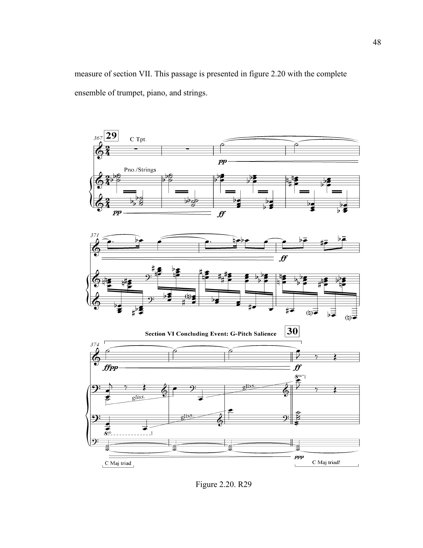measure of section VII. This passage is presented in figure 2.20 with the complete ensemble of trumpet, piano, and strings.



Figure 2.20. R29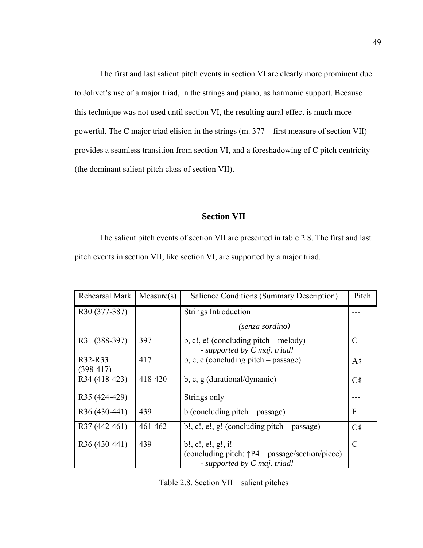The first and last salient pitch events in section VI are clearly more prominent due to Jolivet's use of a major triad, in the strings and piano, as harmonic support. Because this technique was not used until section VI, the resulting aural effect is much more powerful. The C major triad elision in the strings (m. 377 – first measure of section VII) provides a seamless transition from section VI, and a foreshadowing of C pitch centricity (the dominant salient pitch class of section VII).

#### **Section VII**

The salient pitch events of section VII are presented in table 2.8. The first and last pitch events in section VII, like section VI, are supported by a major triad.

| Rehearsal Mark         | Measure(s) | Salience Conditions (Summary Description)                                                                       | Pitch |
|------------------------|------------|-----------------------------------------------------------------------------------------------------------------|-------|
| R30 (377-387)          |            | Strings Introduction                                                                                            |       |
|                        |            | (senza sordino)                                                                                                 |       |
| R31 (388-397)          | 397        | b, c!, e! (concluding pitch – melody)<br>- supported by C maj. triad!                                           | C     |
| R32-R33<br>$(398-417)$ | 417        | b, c, e (concluding pitch $-$ passage)                                                                          | $A$ # |
| R34 (418-423)          | 418-420    | $b, c, g$ (durational/dynamic)                                                                                  | C#    |
| R35 (424-429)          |            | Strings only                                                                                                    |       |
| R36 (430-441)          | 439        | $b$ (concluding pitch – passage)                                                                                | F     |
| R37 (442-461)          | 461-462    | $b!, c!, e!, g!(concluding pitch-passage)$                                                                      | C#    |
| R36 (430-441)          | 439        | b!, c!, e!, g!, i!<br>(concluding pitch: $\uparrow P4$ – passage/section/piece)<br>- supported by C maj. triad! | C     |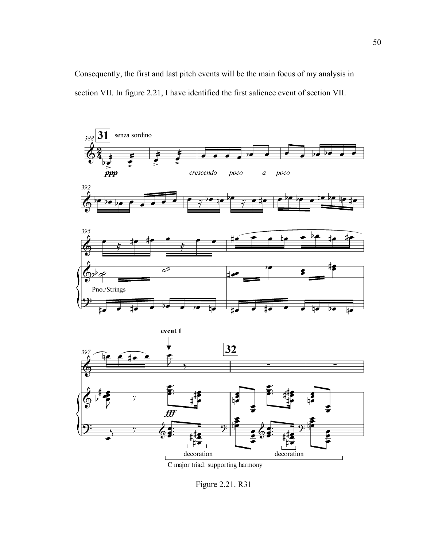Consequently, the first and last pitch events will be the main focus of my analysis in section VII. In figure 2.21, I have identified the first salience event of section VII.



C major triad: supporting harmony

Figure 2.21. R31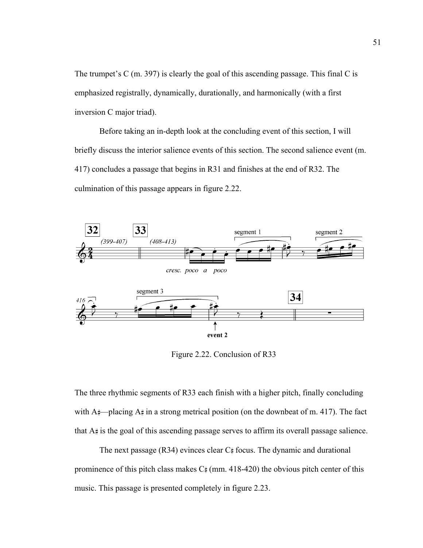The trumpet's C (m. 397) is clearly the goal of this ascending passage. This final C is emphasized registrally, dynamically, durationally, and harmonically (with a first inversion C major triad).

Before taking an in-depth look at the concluding event of this section, I will briefly discuss the interior salience events of this section. The second salience event (m. 417) concludes a passage that begins in R31 and finishes at the end of R32. The culmination of this passage appears in figure 2.22.



Figure 2.22. Conclusion of R33

The three rhythmic segments of R33 each finish with a higher pitch, finally concluding with  $A_{\tau}^*$ —placing  $A_{\tau}^*$  in a strong metrical position (on the downbeat of m. 417). The fact that  $A\#$  is the goal of this ascending passage serves to affirm its overall passage salience.

The next passage  $(R34)$  evinces clear  $C$  focus. The dynamic and durational prominence of this pitch class makes  $C_{\#}$  (mm. 418-420) the obvious pitch center of this music. This passage is presented completely in figure 2.23.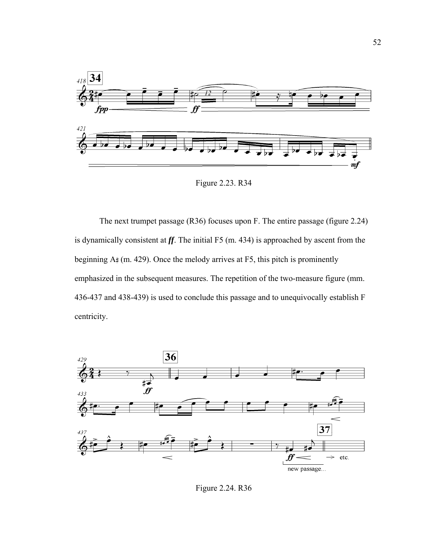

Figure 2.23. R34

 The next trumpet passage (R36) focuses upon F. The entire passage (figure 2.24) is dynamically consistent at *ff*. The initial F5 (m. 434) is approached by ascent from the beginning  $A#(m. 429)$ . Once the melody arrives at F5, this pitch is prominently emphasized in the subsequent measures. The repetition of the two-measure figure (mm. 436-437 and 438-439) is used to conclude this passage and to unequivocally establish F centricity.



Figure 2.24. R36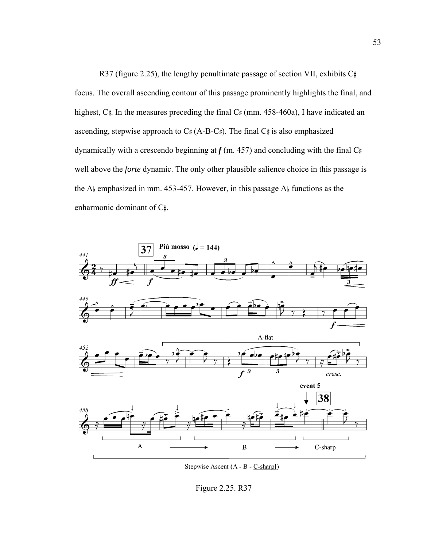R37 (figure 2.25), the lengthy penultimate passage of section VII, exhibits  $C_{\#}$ focus. The overall ascending contour of this passage prominently highlights the final, and highest,  $C_{\tau}$ . In the measures preceding the final  $C_{\tau}$  (mm. 458-460a), I have indicated an ascending, stepwise approach to  $C_{\#}^{\#}(A-B-C_{\#})$ . The final  $C_{\#}^{\#}$  is also emphasized dynamically with a crescendo beginning at  $f$  (m. 457) and concluding with the final  $C_{\sharp}$ well above the *forte* dynamic. The only other plausible salience choice in this passage is the A $\flat$  emphasized in mm. 453-457. However, in this passage A $\flat$  functions as the enharmonic dominant of  $C_{\#}$ .



Stepwise Ascent (A - B - C-sharp!)

Figure 2.25. R37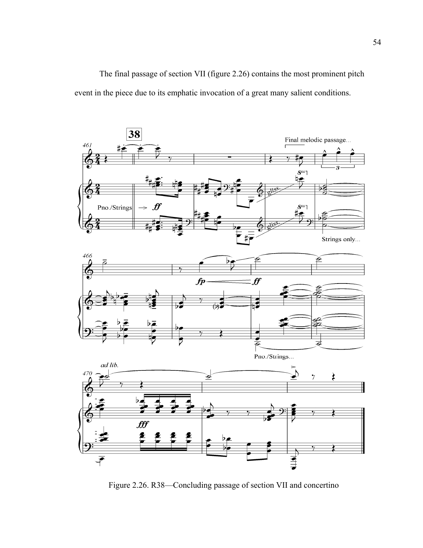The final passage of section VII (figure 2.26) contains the most prominent pitch event in the piece due to its emphatic invocation of a great many salient conditions.



Figure 2.26. R38—Concluding passage of section VII and concertino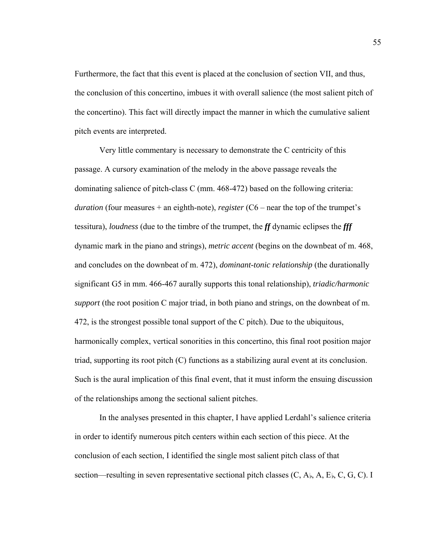Furthermore, the fact that this event is placed at the conclusion of section VII, and thus, the conclusion of this concertino, imbues it with overall salience (the most salient pitch of the concertino). This fact will directly impact the manner in which the cumulative salient pitch events are interpreted.

Very little commentary is necessary to demonstrate the C centricity of this passage. A cursory examination of the melody in the above passage reveals the dominating salience of pitch-class C (mm. 468-472) based on the following criteria: *duration* (four measures + an eighth-note), *register* (C6 – near the top of the trumpet's tessitura), *loudness* (due to the timbre of the trumpet, the *ff* dynamic eclipses the *fff* dynamic mark in the piano and strings), *metric accent* (begins on the downbeat of m. 468, and concludes on the downbeat of m. 472), *dominant-tonic relationship* (the durationally significant G5 in mm. 466-467 aurally supports this tonal relationship), *triadic/harmonic support* (the root position C major triad, in both piano and strings, on the downbeat of m. 472, is the strongest possible tonal support of the C pitch). Due to the ubiquitous, harmonically complex, vertical sonorities in this concertino, this final root position major triad, supporting its root pitch (C) functions as a stabilizing aural event at its conclusion. Such is the aural implication of this final event, that it must inform the ensuing discussion of the relationships among the sectional salient pitches.

In the analyses presented in this chapter, I have applied Lerdahl's salience criteria in order to identify numerous pitch centers within each section of this piece. At the conclusion of each section, I identified the single most salient pitch class of that section—resulting in seven representative sectional pitch classes  $(C, A<sub>k</sub>, A, E<sub>k</sub>, C, G, C)$ . I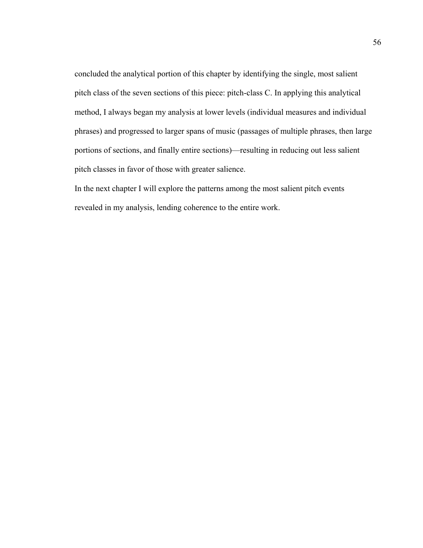concluded the analytical portion of this chapter by identifying the single, most salient pitch class of the seven sections of this piece: pitch-class C. In applying this analytical method, I always began my analysis at lower levels (individual measures and individual phrases) and progressed to larger spans of music (passages of multiple phrases, then large portions of sections, and finally entire sections)—resulting in reducing out less salient pitch classes in favor of those with greater salience.

In the next chapter I will explore the patterns among the most salient pitch events revealed in my analysis, lending coherence to the entire work.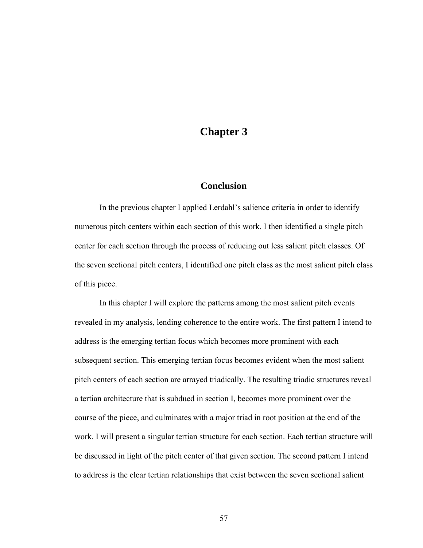## **Chapter 3**

### **Conclusion**

In the previous chapter I applied Lerdahl's salience criteria in order to identify numerous pitch centers within each section of this work. I then identified a single pitch center for each section through the process of reducing out less salient pitch classes. Of the seven sectional pitch centers, I identified one pitch class as the most salient pitch class of this piece.

In this chapter I will explore the patterns among the most salient pitch events revealed in my analysis, lending coherence to the entire work. The first pattern I intend to address is the emerging tertian focus which becomes more prominent with each subsequent section. This emerging tertian focus becomes evident when the most salient pitch centers of each section are arrayed triadically. The resulting triadic structures reveal a tertian architecture that is subdued in section I, becomes more prominent over the course of the piece, and culminates with a major triad in root position at the end of the work. I will present a singular tertian structure for each section. Each tertian structure will be discussed in light of the pitch center of that given section. The second pattern I intend to address is the clear tertian relationships that exist between the seven sectional salient

57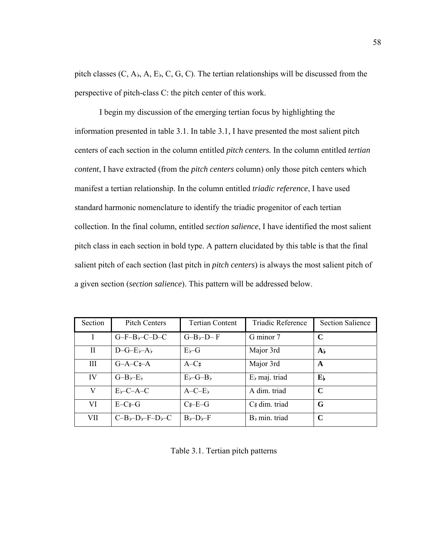pitch classes  $(C, A<sub>b</sub>, A, E<sub>b</sub>, C, G, C)$ . The tertian relationships will be discussed from the perspective of pitch-class C: the pitch center of this work.

I begin my discussion of the emerging tertian focus by highlighting the information presented in table 3.1. In table 3.1, I have presented the most salient pitch centers of each section in the column entitled *pitch centers.* In the column entitled *tertian content*, I have extracted (from the *pitch centers* column) only those pitch centers which manifest a tertian relationship. In the column entitled *triadic reference*, I have used standard harmonic nomenclature to identify the triadic progenitor of each tertian collection. In the final column, entitled *section salience*, I have identified the most salient pitch class in each section in bold type. A pattern elucidated by this table is that the final salient pitch of each section (last pitch in *pitch centers*) is always the most salient pitch of a given section (*section salience*). This pattern will be addressed below.

| Section      | <b>Pitch Centers</b>                                                 | <b>Tertian Content</b>              | Triadic Reference         | <b>Section Salience</b>   |
|--------------|----------------------------------------------------------------------|-------------------------------------|---------------------------|---------------------------|
| $\mathbf{I}$ | $G-F-B$ $-C-D-C$                                                     | $G-B$ $\neg$ D $-$ F                | G minor 7                 | C                         |
| $\rm{II}$    | $D-G-E$ <sub><math>r</math></sub> $A$ <sub><math>r</math></sub>      | $E_{b}-G$                           | Major 3rd                 | $\mathbf{A}$              |
| Ш            | $G-A-C+A$                                                            | $A-C#$                              | Major 3rd                 | A                         |
| IV           | $G-B$ <sub><math>\neg</math></sub> $-E$ <sub><math>\neg</math></sub> | $E\rightarrow G-B\}$                | $Eb$ maj. triad           | $\mathbf{E}_{\mathbf{b}}$ |
| V            | $E$ <sub>b</sub> -C-A-C                                              | $A - C - E$                         | A dim. triad              | C                         |
| VI           | $E-C+G$                                                              | C#–E–G                              | C# dim. triad             | G                         |
| VII          | $C-B$ <sub>b</sub> -D <sub>b</sub> -F-D <sub>b</sub> -C              | $B$ <sub>b</sub> -D <sub>b</sub> -F | B <sub>b</sub> min. triad | $\mathbf C$               |

Table 3.1. Tertian pitch patterns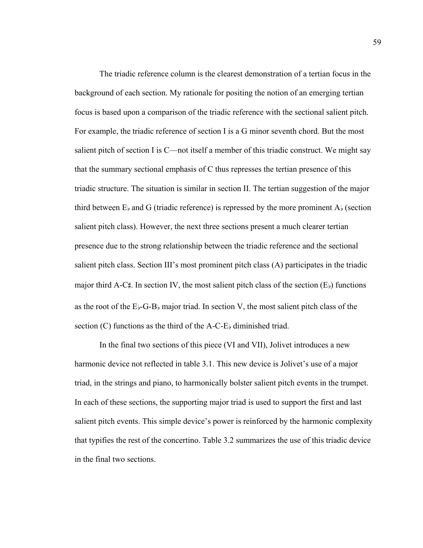The triadic reference column is the clearest demonstration of a tertian focus in the background of each section. My rationale for positing the notion of an emerging tertian focus is based upon a comparison of the triadic reference with the sectional salient pitch. For example, the triadic reference of section I is a G minor seventh chord. But the most salient pitch of section I is C—not itself a member of this triadic construct. We might say that the summary sectional emphasis of C thus represses the tertian presence of this triadic structure. The situation is similar in section II. The tertian suggestion of the major third between  $E_{\rm b}$  and G (triadic reference) is repressed by the more prominent  $A_{\rm b}$  (section salient pitch class). However, the next three sections present a much clearer tertian presence due to the strong relationship between the triadic reference and the sectional salient pitch class. Section III's most prominent pitch class (A) participates in the triadic major third A-C#. In section IV, the most salient pitch class of the section  $(E)$  functions as the root of the  $E$  $\rightarrow$ -G-B $\rightarrow$  major triad. In section V, the most salient pitch class of the section  $(C)$  functions as the third of the A-C-E $\frac{1}{2}$  diminished triad.

In the final two sections of this piece (VI and VII), Jolivet introduces a new harmonic device not reflected in table 3.1. This new device is Jolivet's use of a major triad, in the strings and piano, to harmonically bolster salient pitch events in the trumpet. In each of these sections, the supporting major triad is used to support the first and last salient pitch events. This simple device's power is reinforced by the harmonic complexity that typifies the rest of the concertino. Table 3.2 summarizes the use of this triadic device in the final two sections.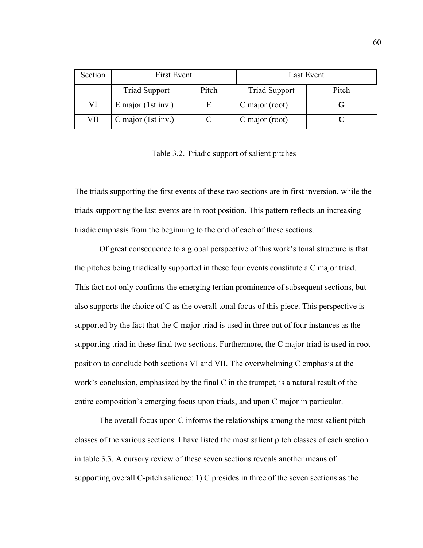| Section | First Event          |       | Last Event           |       |
|---------|----------------------|-------|----------------------|-------|
|         | <b>Triad Support</b> | Pitch | <b>Triad Support</b> | Pitch |
| VI      | E major $(1st inv.)$ |       | C major (root)       |       |
| VІІ     | C major $(1st inv.)$ |       | C major (root)       |       |

Table 3.2. Triadic support of salient pitches

The triads supporting the first events of these two sections are in first inversion, while the triads supporting the last events are in root position. This pattern reflects an increasing triadic emphasis from the beginning to the end of each of these sections.

Of great consequence to a global perspective of this work's tonal structure is that the pitches being triadically supported in these four events constitute a C major triad. This fact not only confirms the emerging tertian prominence of subsequent sections, but also supports the choice of C as the overall tonal focus of this piece. This perspective is supported by the fact that the C major triad is used in three out of four instances as the supporting triad in these final two sections. Furthermore, the C major triad is used in root position to conclude both sections VI and VII. The overwhelming C emphasis at the work's conclusion, emphasized by the final C in the trumpet, is a natural result of the entire composition's emerging focus upon triads, and upon C major in particular.

 The overall focus upon C informs the relationships among the most salient pitch classes of the various sections. I have listed the most salient pitch classes of each section in table 3.3. A cursory review of these seven sections reveals another means of supporting overall C-pitch salience: 1) C presides in three of the seven sections as the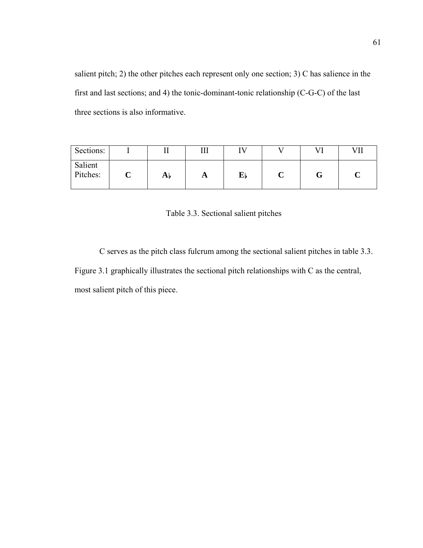salient pitch; 2) the other pitches each represent only one section; 3) C has salience in the first and last sections; and 4) the tonic-dominant-tonic relationship (C-G-C) of the last three sections is also informative.

| Sections:           |   |                |              | TT 7 |  | VII |
|---------------------|---|----------------|--------------|------|--|-----|
| Salient<br>Pitches: | ັ | A <sub>b</sub> | $\mathbf{A}$ | Eþ   |  |     |

Table 3.3. Sectional salient pitches

C serves as the pitch class fulcrum among the sectional salient pitches in table 3.3. Figure 3.1 graphically illustrates the sectional pitch relationships with C as the central, most salient pitch of this piece.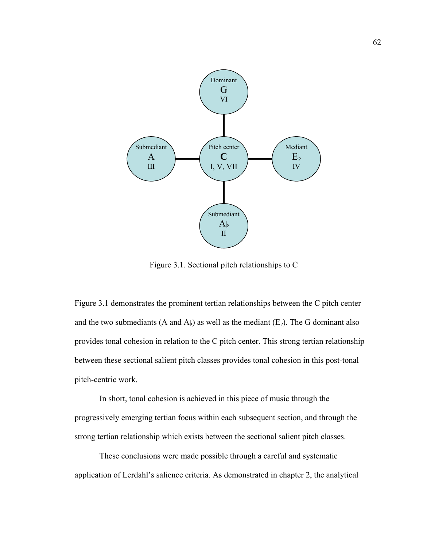

Figure 3.1. Sectional pitch relationships to C

Figure 3.1 demonstrates the prominent tertian relationships between the C pitch center and the two submediants (A and A $_{\rm b}$ ) as well as the mediant (E $_{\rm b}$ ). The G dominant also provides tonal cohesion in relation to the C pitch center. This strong tertian relationship between these sectional salient pitch classes provides tonal cohesion in this post-tonal pitch-centric work.

 In short, tonal cohesion is achieved in this piece of music through the progressively emerging tertian focus within each subsequent section, and through the strong tertian relationship which exists between the sectional salient pitch classes.

These conclusions were made possible through a careful and systematic application of Lerdahl's salience criteria. As demonstrated in chapter 2, the analytical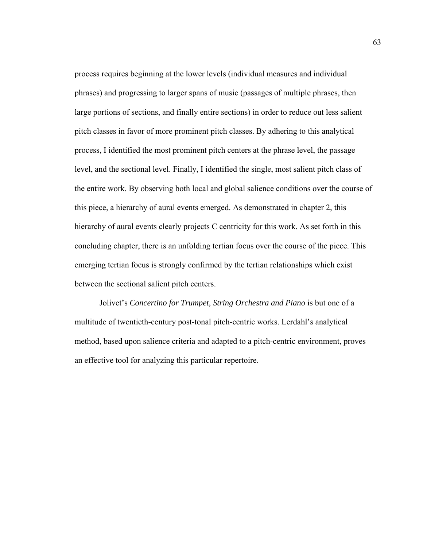process requires beginning at the lower levels (individual measures and individual phrases) and progressing to larger spans of music (passages of multiple phrases, then large portions of sections, and finally entire sections) in order to reduce out less salient pitch classes in favor of more prominent pitch classes. By adhering to this analytical process, I identified the most prominent pitch centers at the phrase level, the passage level, and the sectional level. Finally, I identified the single, most salient pitch class of the entire work. By observing both local and global salience conditions over the course of this piece, a hierarchy of aural events emerged. As demonstrated in chapter 2, this hierarchy of aural events clearly projects C centricity for this work. As set forth in this concluding chapter, there is an unfolding tertian focus over the course of the piece. This emerging tertian focus is strongly confirmed by the tertian relationships which exist between the sectional salient pitch centers.

 Jolivet's *Concertino for Trumpet, String Orchestra and Piano* is but one of a multitude of twentieth-century post-tonal pitch-centric works. Lerdahl's analytical method, based upon salience criteria and adapted to a pitch-centric environment, proves an effective tool for analyzing this particular repertoire.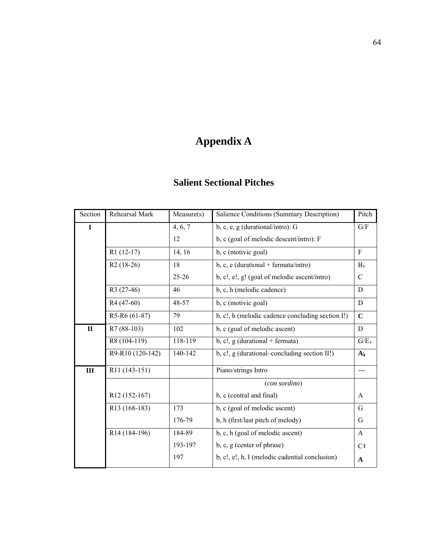# **Appendix A**

## **Salient Sectional Pitches**

| Section      | Rehearsal Mark            | Measure(s) | Salience Conditions (Summary Description)        | Pitch          |
|--------------|---------------------------|------------|--------------------------------------------------|----------------|
| $\bf{I}$     |                           | 4, 6, 7    | b, c, e, g (durational/intro): G                 | G/F            |
|              |                           | 12         | b, c (goal of melodic descent/intro): F          |                |
|              | $R1(12-17)$               | 14, 16     | b, c (motivic goal)                              | $\mathbf{F}$   |
|              | $R2(18-26)$               | 18         | b, c, e (durational + fermata/intro)             | B <sub>b</sub> |
|              |                           | $25 - 26$  | b, c!, e!, g! (goal of melodic ascent/intro)     | C              |
|              | R3 (27-46)                | 46         | b, c, h (melodic cadence)                        | D              |
|              | R <sub>4</sub> (47-60)    | 48-57      | b, c (motivic goal)                              | D              |
|              | R5-R6 (61-87)             | 79         | b, c!, h (melodic cadence concluding section I!) | $\mathbf C$    |
| $\mathbf{I}$ | R7 (88-103)               | 102        | b, c (goal of melodic ascent)                    | D              |
|              | R8 (104-119)              | 118-119    | $b, c!, g$ (durational + fermata)                | G/E            |
|              | R9-R10 (120-142)          | 140-142    | b, c!, g (durational-concluding section II!)     | $A_{\rm b}$    |
| III          | R <sub>11</sub> (143-151) |            | Piano/strings Intro                              |                |
|              |                           |            | (con sordino)                                    |                |
|              | R12 (152-167)             |            | b, c (central and final)                         | $\mathsf{A}$   |
|              | R13 (168-183)             | 173        | b, c (goal of melodic ascent)                    | G              |
|              |                           | 176-79     | b, h (first/last pitch of melody)                | G              |
|              | R <sub>14</sub> (184-196) | 184-89     | b, c, h (goal of melodic ascent)                 | $\mathbf{A}$   |
|              |                           | 193-197    | b, c, g (center of phrase)                       | C#             |
|              |                           | 197        | b, c!, e!, h, I (melodic cadential conclusion)   | $\mathbf{A}$   |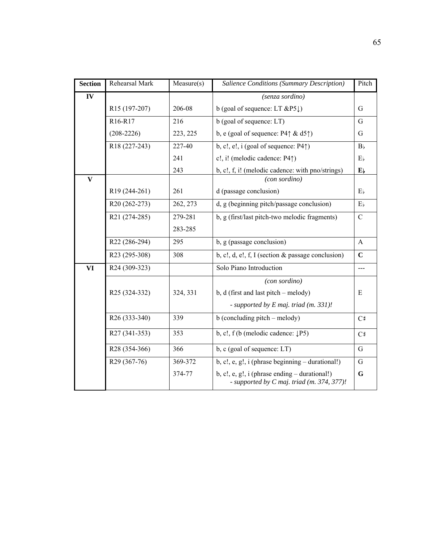| <b>Section</b> | Rehearsal Mark            | Measure(s) | Salience Conditions (Summary Description)                                                       | Pitch                     |
|----------------|---------------------------|------------|-------------------------------------------------------------------------------------------------|---------------------------|
| IV             |                           |            | (senza sordino)                                                                                 |                           |
|                | R15 (197-207)             | 206-08     | b (goal of sequence: LT $\&P5 \downarrow$ )                                                     | G                         |
|                | R16-R17                   | 216        | b (goal of sequence: LT)                                                                        | G                         |
|                | $(208-2226)$              | 223, 225   | b, e (goal of sequence: $P4 \uparrow \& d5 \uparrow$ )                                          | G                         |
|                | R18 (227-243)             | 227-40     | b, c!, e!, i (goal of sequence: $P4\uparrow$ )                                                  | B <sub>b</sub>            |
|                |                           | 241        | c!, i! (melodic cadence: P4 $\uparrow$ )                                                        | $E_{\rm b}$               |
|                |                           | 243        | b, c!, f, i! (melodic cadence: with pno/strings)                                                | $\mathbf{E}_{\mathbf{b}}$ |
| $\mathbf{V}$   |                           |            | (con sordino)                                                                                   |                           |
|                | R19 (244-261)             | 261        | d (passage conclusion)                                                                          | $E_{b}$                   |
|                | R20 (262-273)             | 262, 273   | d, g (beginning pitch/passage conclusion)                                                       | $E_{b}$                   |
|                | R21 (274-285)             | 279-281    | b, g (first/last pitch-two melodic fragments)                                                   | $\mathbf C$               |
|                |                           | 283-285    |                                                                                                 |                           |
|                | R22 (286-294)             | 295        | b, g (passage conclusion)                                                                       | A                         |
|                | R23 (295-308)             | 308        | b, c!, d, e!, f, I (section $\&$ passage conclusion)                                            | $\mathbf C$               |
| <b>VI</b>      | R24 (309-323)             |            | Solo Piano Introduction                                                                         | $---$                     |
|                |                           |            | (con sordino)                                                                                   |                           |
|                | R <sub>25</sub> (324-332) | 324, 331   | $b, d$ (first and last pitch – melody)                                                          | E                         |
|                |                           |            | - supported by E maj. triad (m. 331)!                                                           |                           |
|                | R26 (333-340)             | 339        | $b$ (concluding pitch – melody)                                                                 | C#                        |
|                | R27 (341-353)             | 353        | b, c!, f (b (melodic cadence: $\downarrow$ P5)                                                  | C#                        |
|                | R28 (354-366)             | 366        | b, c (goal of sequence: LT)                                                                     | G                         |
|                | R29 (367-76)              | 369-372    | $b, c!, e, g!, i (phrase beginning - durational!)$                                              | G                         |
|                |                           | 374-77     | $b, c!, e, g!, i (phrase ending - durational!)$<br>- supported by $C$ maj. triad (m. 374, 377)! | G                         |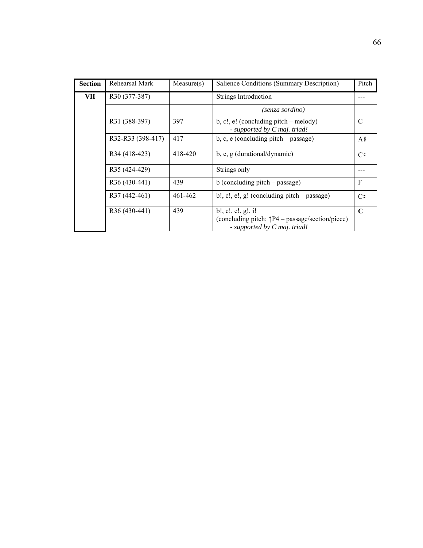| <b>Section</b> | Rehearsal Mark    | Measure(s) | Salience Conditions (Summary Description)                                                                       | Pitch       |
|----------------|-------------------|------------|-----------------------------------------------------------------------------------------------------------------|-------------|
| VII            | R30 (377-387)     |            | Strings Introduction                                                                                            |             |
|                |                   |            | (senza sordino)                                                                                                 |             |
|                | R31 (388-397)     | 397        | $b, c!, e!$ (concluding pitch – melody)<br>- supported by C maj. triad!                                         | C           |
|                | R32-R33 (398-417) | 417        | $b, c, e$ (concluding pitch – passage)                                                                          | $A$ #       |
|                | R34 (418-423)     | 418-420    | $b, c, g$ (durational/dynamic)                                                                                  | C#          |
|                | R35 (424-429)     |            | Strings only                                                                                                    |             |
|                | R36 (430-441)     | 439        | $b$ (concluding pitch – passage)                                                                                | F           |
|                | R37 (442-461)     | 461-462    | $b!, c!, e!, g!(\text{concluding pitch} - \text{passage})$                                                      | C#          |
|                | R36 (430-441)     | 439        | b!, c!, e!, g!, i!<br>(concluding pitch: $\uparrow P4$ – passage/section/piece)<br>- supported by C maj. triad! | $\mathbf C$ |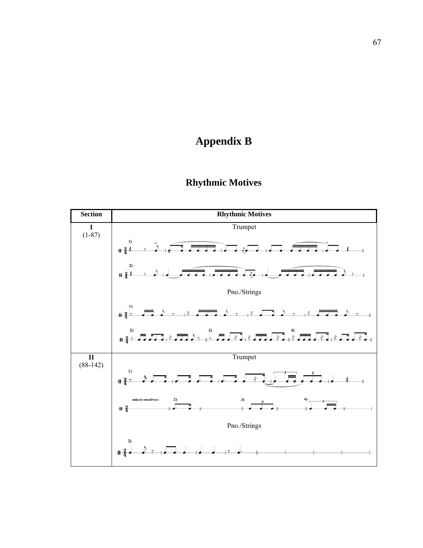# **Appendix B**



# **Rhythmic Motives**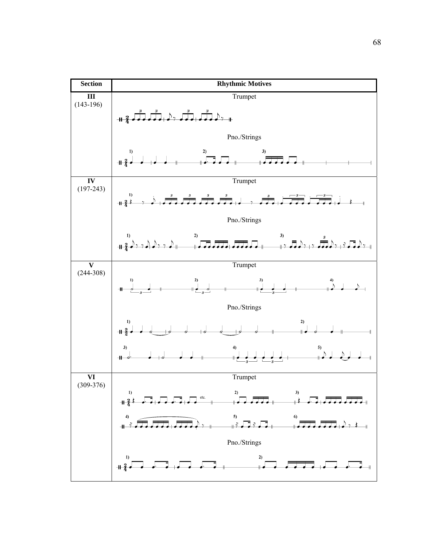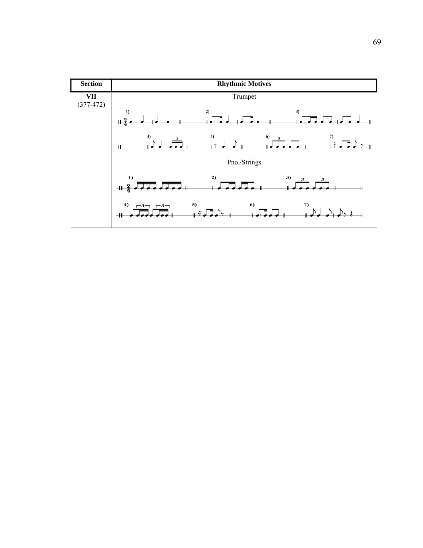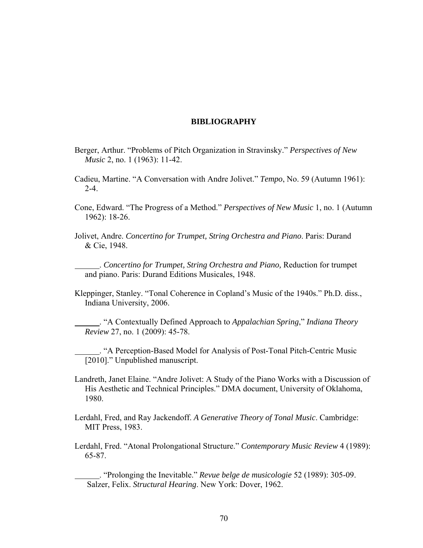## **BIBLIOGRAPHY**

- Berger, Arthur. "Problems of Pitch Organization in Stravinsky." *Perspectives of New Music* 2, no. 1 (1963): 11-42.
- Cadieu, Martine. "A Conversation with Andre Jolivet." *Tempo*, No. 59 (Autumn 1961): 2-4.
- Cone, Edward. "The Progress of a Method." *Perspectives of New Music* 1, no. 1 (Autumn 1962): 18-26.
- Jolivet, Andre. *Concertino for Trumpet, String Orchestra and Piano*. Paris: Durand & Cie, 1948.

. *Concertino for Trumpet, String Orchestra and Piano,* Reduction for trumpet and piano. Paris: Durand Editions Musicales, 1948.

Kleppinger, Stanley. "Tonal Coherence in Copland's Music of the 1940s." Ph.D. diss., Indiana University, 2006.

. "A Contextually Defined Approach to *Appalachian Spring*," *Indiana Theory Review* 27, no. 1 (2009): 45-78.

. "A Perception-Based Model for Analysis of Post-Tonal Pitch-Centric Music [2010]." Unpublished manuscript.

Landreth, Janet Elaine. "Andre Jolivet: A Study of the Piano Works with a Discussion of His Aesthetic and Technical Principles." DMA document, University of Oklahoma, 1980.

Lerdahl, Fred, and Ray Jackendoff. *A Generative Theory of Tonal Music*. Cambridge: MIT Press, 1983.

Lerdahl, Fred. "Atonal Prolongational Structure." *Contemporary Music Review* 4 (1989): 65-87.

. "Prolonging the Inevitable." *Revue belge de musicologie* 52 (1989): 305-09. Salzer, Felix. *Structural Hearing*. New York: Dover, 1962.